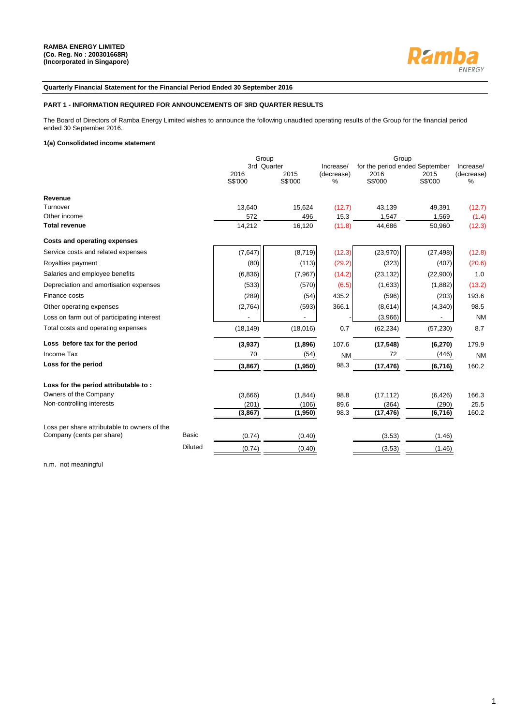

### **Quarterly Financial Statement for the Financial Period Ended 30 September 2016**

## **PART 1 - INFORMATION REQUIRED FOR ANNOUNCEMENTS OF 3RD QUARTER RESULTS**

The Board of Directors of Ramba Energy Limited wishes to announce the following unaudited operating results of the Group for the financial period ended 30 September 2016.

### **1(a) Consolidated income statement**

|                                              | Group<br>3rd Quarter |                 | Increase/       | Group<br>for the period ended September |                 | Increase/       |
|----------------------------------------------|----------------------|-----------------|-----------------|-----------------------------------------|-----------------|-----------------|
|                                              | 2016<br>S\$'000      | 2015<br>S\$'000 | (decrease)<br>% | 2016<br>S\$'000                         | 2015<br>S\$'000 | (decrease)<br>% |
| Revenue                                      |                      |                 |                 |                                         |                 |                 |
| Turnover                                     | 13,640               | 15,624          | (12.7)          | 43,139                                  | 49,391          | (12.7)          |
| Other income                                 | 572                  | 496             | 15.3            | 1,547                                   | 1,569           | (1.4)           |
| <b>Total revenue</b>                         | 14,212               | 16,120          | (11.8)          | 44,686                                  | 50,960          | (12.3)          |
| <b>Costs and operating expenses</b>          |                      |                 |                 |                                         |                 |                 |
| Service costs and related expenses           | (7, 647)             | (8,719)         | (12.3)          | (23,970)                                | (27, 498)       | (12.8)          |
| Royalties payment                            | (80)                 | (113)           | (29.2)          | (323)                                   | (407)           | (20.6)          |
| Salaries and employee benefits               | (6, 836)             | (7, 967)        | (14.2)          | (23, 132)                               | (22,900)        | 1.0             |
| Depreciation and amortisation expenses       | (533)                | (570)           | (6.5)           | (1,633)                                 | (1,882)         | (13.2)          |
| Finance costs                                | (289)                | (54)            | 435.2           | (596)                                   | (203)           | 193.6           |
| Other operating expenses                     | (2,764)              | (593)           | 366.1           | (8,614)                                 | (4,340)         | 98.5            |
| Loss on farm out of participating interest   |                      |                 |                 | (3,966)                                 |                 | <b>NM</b>       |
| Total costs and operating expenses           | (18, 149)            | (18,016)        | 0.7             | (62, 234)                               | (57, 230)       | 8.7             |
| Loss before tax for the period               | (3,937)              | (1,896)         | 107.6           | (17, 548)                               | (6, 270)        | 179.9           |
| Income Tax                                   | 70                   | (54)            | <b>NM</b>       | 72                                      | (446)           | <b>NM</b>       |
| Loss for the period                          | (3, 867)             | (1,950)         | 98.3            | (17, 476)                               | (6, 716)        | 160.2           |
| Loss for the period attributable to:         |                      |                 |                 |                                         |                 |                 |
| Owners of the Company                        | (3,666)              | (1, 844)        | 98.8            | (17, 112)                               | (6, 426)        | 166.3           |
| Non-controlling interests                    | (201)                | (106)           | 89.6            | (364)                                   | (290)           | 25.5            |
|                                              | (3, 867)             | (1,950)         | 98.3            | (17, 476)                               | (6, 716)        | 160.2           |
| Loss per share attributable to owners of the |                      |                 |                 |                                         |                 |                 |
| Company (cents per share)<br><b>Basic</b>    | (0.74)               | (0.40)          |                 | (3.53)                                  | (1.46)          |                 |
| <b>Diluted</b>                               | (0.74)               | (0.40)          |                 | (3.53)                                  | (1.46)          |                 |

n.m. not meaningful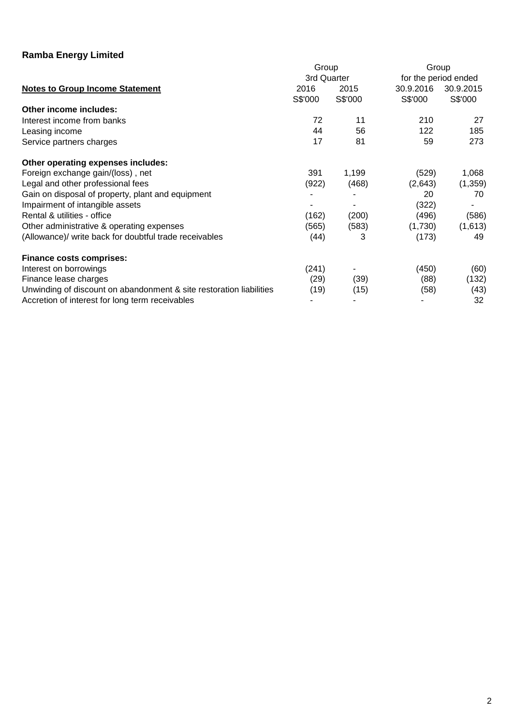|                                                                     | Group       |         | Group     |                      |  |
|---------------------------------------------------------------------|-------------|---------|-----------|----------------------|--|
|                                                                     | 3rd Quarter |         |           | for the period ended |  |
| <b>Notes to Group Income Statement</b>                              | 2016        | 2015    | 30.9.2016 | 30.9.2015            |  |
|                                                                     | S\$'000     | S\$'000 | S\$'000   | S\$'000              |  |
| Other income includes:                                              |             |         |           |                      |  |
| Interest income from banks                                          | 72          | 11      | 210       | 27                   |  |
| Leasing income                                                      | 44          | 56      | 122       | 185                  |  |
| Service partners charges                                            | 17          | 81      | 59        | 273                  |  |
| Other operating expenses includes:                                  |             |         |           |                      |  |
| Foreign exchange gain/(loss), net                                   | 391         | 1,199   | (529)     | 1,068                |  |
| Legal and other professional fees                                   | (922)       | (468)   | (2,643)   | (1, 359)             |  |
| Gain on disposal of property, plant and equipment                   |             |         | 20        | 70                   |  |
| Impairment of intangible assets                                     |             |         | (322)     |                      |  |
| Rental & utilities - office                                         | (162)       | (200)   | (496)     | (586)                |  |
| Other administrative & operating expenses                           | (565)       | (583)   | (1,730)   | (1,613)              |  |
| (Allowance)/ write back for doubtful trade receivables              | (44)        | 3       | (173)     | 49                   |  |
| <b>Finance costs comprises:</b>                                     |             |         |           |                      |  |
| Interest on borrowings                                              | (241)       |         | (450)     | (60)                 |  |
| Finance lease charges                                               | (29)        | (39)    | (88)      | (132)                |  |
| Unwinding of discount on abandonment & site restoration liabilities | (19)        | (15)    | (58)      | (43)                 |  |
| Accretion of interest for long term receivables                     |             |         |           | 32                   |  |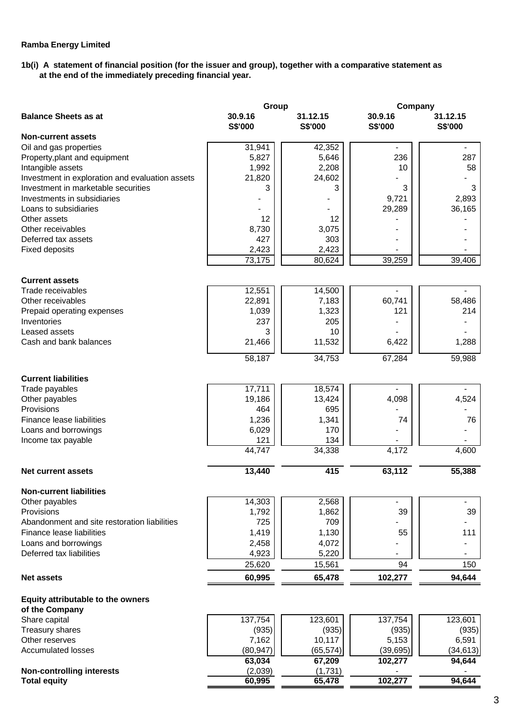# **1b(i) A statement of financial position (for the issuer and group), together with a comparative statement as at the end of the immediately preceding financial year.**

|                                                 | Group              |                     | Company                  |                          |  |  |
|-------------------------------------------------|--------------------|---------------------|--------------------------|--------------------------|--|--|
| <b>Balance Sheets as at</b>                     | 30.9.16<br>S\$'000 | 31.12.15<br>S\$'000 | 30.9.16<br>S\$'000       | 31.12.15<br>S\$'000      |  |  |
| <b>Non-current assets</b>                       |                    |                     |                          |                          |  |  |
| Oil and gas properties                          | 31,941             | 42,352              | $\overline{\phantom{a}}$ | $\blacksquare$           |  |  |
| Property, plant and equipment                   | 5,827              | 5,646               | 236                      | 287                      |  |  |
| Intangible assets                               | 1,992              | 2,208               | 10                       | 58                       |  |  |
| Investment in exploration and evaluation assets | 21,820             | 24,602              |                          |                          |  |  |
| Investment in marketable securities             | 3                  | 3                   | 3                        | 3                        |  |  |
| Investments in subsidiaries                     |                    |                     | 9,721                    | 2,893                    |  |  |
| Loans to subsidiaries                           |                    |                     | 29,289                   | 36,165                   |  |  |
| Other assets                                    | 12                 | 12                  |                          |                          |  |  |
| Other receivables                               | 8,730              | 3,075               |                          |                          |  |  |
| Deferred tax assets                             | 427                | 303                 |                          |                          |  |  |
| <b>Fixed deposits</b>                           | 2,423<br>73,175    | 2,423<br>80,624     | 39,259                   | 39,406                   |  |  |
|                                                 |                    |                     |                          |                          |  |  |
| <b>Current assets</b>                           |                    |                     |                          |                          |  |  |
| Trade receivables                               | 12,551             | 14,500              |                          |                          |  |  |
| Other receivables                               | 22,891             | 7,183               | 60,741                   | 58,486                   |  |  |
| Prepaid operating expenses                      | 1,039              | 1,323               | 121                      | 214                      |  |  |
| Inventories                                     | 237                | 205                 |                          |                          |  |  |
| Leased assets                                   | 3                  | 10                  |                          |                          |  |  |
| Cash and bank balances                          | 21,466             | 11,532              | 6,422                    | 1,288                    |  |  |
|                                                 | 58,187             | 34,753              | 67,284                   | 59,988                   |  |  |
|                                                 |                    |                     |                          |                          |  |  |
| <b>Current liabilities</b>                      |                    |                     |                          |                          |  |  |
| Trade payables                                  | 17,711             | 18,574              | 4,098                    | 4,524                    |  |  |
| Other payables<br>Provisions                    | 19,186<br>464      | 13,424<br>695       |                          |                          |  |  |
| Finance lease liabilities                       | 1,236              | 1,341               | 74                       | 76                       |  |  |
| Loans and borrowings                            | 6,029              | 170                 |                          |                          |  |  |
| Income tax payable                              | 121                | 134                 |                          |                          |  |  |
|                                                 | 44,747             | 34,338              | 4,172                    | 4,600                    |  |  |
| <b>Net current assets</b>                       | 13,440             | 415                 | 63,112                   | 55,388                   |  |  |
|                                                 |                    |                     |                          |                          |  |  |
| <b>Non-current liabilities</b>                  |                    |                     |                          |                          |  |  |
| Other payables                                  | 14,303             | 2,568               |                          | $\overline{\phantom{a}}$ |  |  |
| Provisions                                      | 1,792              | 1,862               | 39                       | 39                       |  |  |
| Abandonment and site restoration liabilities    | 725                | 709                 |                          |                          |  |  |
| Finance lease liabilities                       | 1,419              | 1,130               | 55                       | 111                      |  |  |
| Loans and borrowings                            | 2,458              | 4,072               |                          |                          |  |  |
| Deferred tax liabilities                        | 4,923              | 5,220               |                          |                          |  |  |
|                                                 | 25,620             | 15,561              | 94                       | 150                      |  |  |
| <b>Net assets</b>                               | 60,995             | 65,478              | 102,277                  | 94,644                   |  |  |
| Equity attributable to the owners               |                    |                     |                          |                          |  |  |
| of the Company                                  |                    |                     |                          |                          |  |  |
| Share capital                                   | 137,754            | 123,601             | 137,754                  | 123,601                  |  |  |
| Treasury shares                                 | (935)              | (935)               | (935)                    | (935)                    |  |  |
| Other reserves                                  | 7,162              | 10,117              | 5,153                    | 6,591                    |  |  |
| <b>Accumulated losses</b>                       | (80, 947)          | (65, 574)           | (39, 695)                | (34, 613)                |  |  |
|                                                 | 63,034             | 67,209              | 102,277                  | 94,644                   |  |  |
| <b>Non-controlling interests</b>                | (2,039)            | (1,731)             |                          |                          |  |  |
| <b>Total equity</b>                             | 60,995             | 65,478              | 102,277                  | 94,644                   |  |  |
|                                                 |                    |                     |                          |                          |  |  |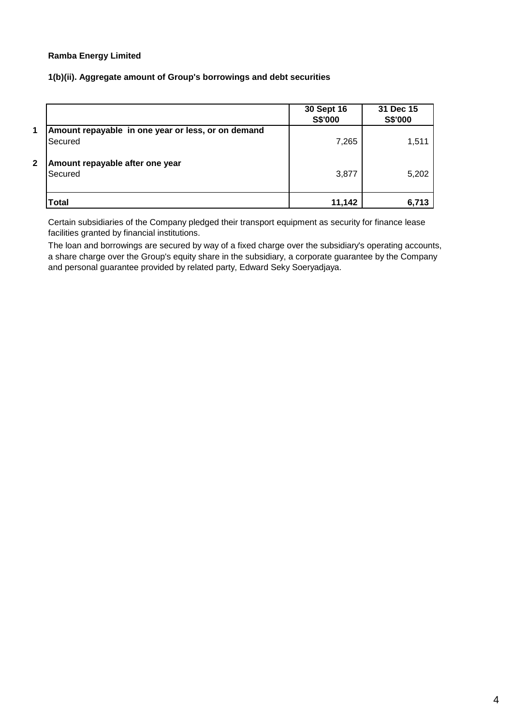# **1(b)(ii). Aggregate amount of Group's borrowings and debt securities**

|              |                                                               | 30 Sept 16<br>S\$'000 | 31 Dec 15<br>S\$'000 |
|--------------|---------------------------------------------------------------|-----------------------|----------------------|
| $\mathbf 1$  | Amount repayable in one year or less, or on demand<br>Secured | 7,265                 | 1,511                |
| $\mathbf{2}$ | Amount repayable after one year<br>Secured                    | 3,877                 | 5,202                |
|              | <b>Total</b>                                                  | 11.142                | 6.713                |

Certain subsidiaries of the Company pledged their transport equipment as security for finance lease facilities granted by financial institutions.

The loan and borrowings are secured by way of a fixed charge over the subsidiary's operating accounts, a share charge over the Group's equity share in the subsidiary, a corporate guarantee by the Company and personal guarantee provided by related party, Edward Seky Soeryadjaya.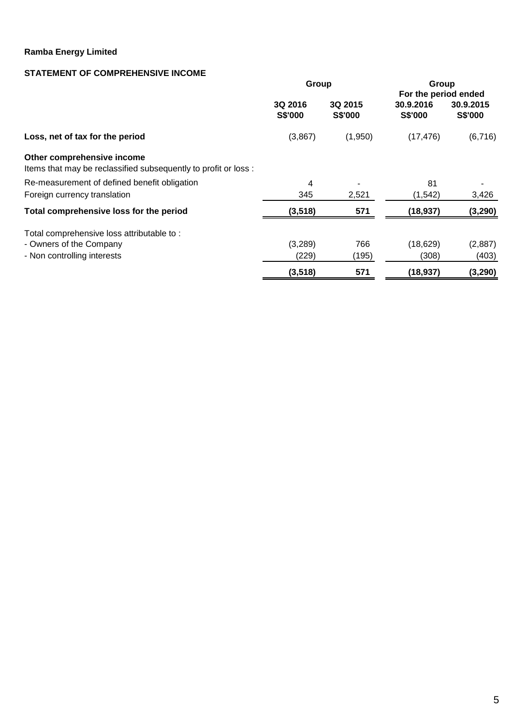# **STATEMENT OF COMPREHENSIVE INCOME**

|                                                                                               | Group              |                    | Group                       |                      |  |  |
|-----------------------------------------------------------------------------------------------|--------------------|--------------------|-----------------------------|----------------------|--|--|
|                                                                                               |                    |                    | For the period ended        |                      |  |  |
|                                                                                               | 3Q 2016<br>S\$'000 | 3Q 2015<br>S\$'000 | 30.9.2016<br><b>S\$'000</b> | 30.9.2015<br>S\$'000 |  |  |
| Loss, net of tax for the period                                                               | (3,867)            | (1,950)            | (17, 476)                   | (6,716)              |  |  |
| Other comprehensive income<br>Items that may be reclassified subsequently to profit or loss : |                    |                    |                             |                      |  |  |
| Re-measurement of defined benefit obligation                                                  | 4                  |                    | 81                          |                      |  |  |
| Foreign currency translation                                                                  | 345                | 2,521              | (1, 542)                    | 3,426                |  |  |
| Total comprehensive loss for the period                                                       | (3, 518)           | 571                | (18, 937)                   | (3, 290)             |  |  |
| Total comprehensive loss attributable to:                                                     |                    |                    |                             |                      |  |  |
| - Owners of the Company                                                                       | (3,289)            | 766                | (18, 629)                   | (2,887)              |  |  |
| - Non controlling interests                                                                   | (229)              | (195)              | (308)                       | (403)                |  |  |
|                                                                                               | (3, 518)           | 571                | (18, 937)                   | (3, 290)             |  |  |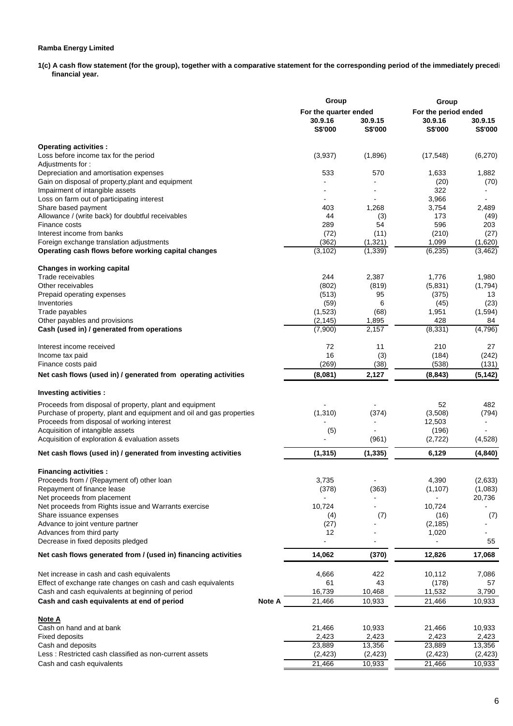**1(c) A cash flow statement (for the group), together with a comparative statement for the corresponding period of the immediately preceding financial year.** 

| For the quarter ended<br>For the period ended<br>30.9.16<br>30.9.15<br>30.9.16<br>30.9.15<br>S\$'000<br>S\$'000<br>S\$'000<br>S\$'000<br><b>Operating activities:</b><br>Loss before income tax for the period<br>(3,937)<br>(6, 270)<br>(1,896)<br>(17, 548)<br>Adjustments for:<br>533<br>570<br>1,633<br>1,882<br>(70)<br>(20)<br>322<br>3,966<br>1,268<br>3,754<br>2,489<br>403<br>Allowance / (write back) for doubtful receivables<br>44<br>173<br>(3)<br>(49)<br>596<br>289<br>54<br>203<br>Finance costs<br>Interest income from banks<br>(11)<br>(210)<br>(27)<br>(72)<br>Foreign exchange translation adjustments<br>(362)<br>(1, 321)<br>1,099<br>(1,620)<br>Operating cash flows before working capital changes<br>(3, 102)<br>(1, 339)<br>(6, 235)<br>(3, 462)<br>Trade receivables<br>2,387<br>1,776<br>1,980<br>244<br>Other receivables<br>(802)<br>(819)<br>(5,831)<br>(1,794)<br>95<br>Prepaid operating expenses<br>(513)<br>(375)<br>13<br>6<br>Inventories<br>(59)<br>(45)<br>(23)<br>(1,523)<br>(68)<br>1,951<br>(1, 594)<br>Trade payables<br>Other payables and provisions<br>(2, 145)<br>1,895<br>428<br>84<br>(4,796)<br>Cash (used in) / generated from operations<br>(7,900)<br>2,157<br>(8, 331)<br>Interest income received<br>72<br>11<br>210<br>27<br>16<br>(3)<br>Income tax paid<br>(184)<br>(242)<br>(269)<br>(38)<br>(538)<br>(131)<br>Finance costs paid<br>(8,081)<br>2,127<br>(8, 843)<br>(5, 142)<br>Investing activities :<br>Proceeds from disposal of property, plant and equipment<br>52<br>482<br>Purchase of property, plant and equipment and oil and gas properties<br>(1,310)<br>(374)<br>(3,508)<br>(794)<br>Proceeds from disposal of working interest<br>12,503<br>Acquisition of intangible assets<br>(5)<br>(196)<br>$\sim$<br>$\blacksquare$<br>Acquisition of exploration & evaluation assets<br>(4, 528)<br>(961)<br>(2,722)<br>(1, 315)<br>(1, 335)<br>6,129<br>(4, 840)<br>Net cash flows (used in) / generated from investing activities<br>Proceeds from / (Repayment of) other loan<br>3,735<br>4,390<br>(2,633)<br>Repayment of finance lease<br>(378)<br>(363)<br>(1, 107)<br>(1,083)<br>Net proceeds from placement<br>20,736<br>Net proceeds from Rights issue and Warrants exercise<br>10,724<br>10,724<br>Share issuance expenses<br>(4)<br>(7)<br>(16)<br>(7)<br>Advance to joint venture partner<br>(2, 185)<br>(27)<br>Advances from third party<br>12<br>1,020<br>Decrease in fixed deposits pledged<br>55<br>(370)<br>17,068<br>14,062<br>12,826<br>Net cash flows generated from / (used in) financing activities<br>4,666<br>422<br>10,112<br>7,086<br>43<br>61<br>57<br>(178)<br>16,739<br>10,468<br>11,532<br>3,790<br>21,466<br><b>Note A</b><br>10,933<br>21,466<br>10,933<br><u>Note A</u><br>Cash on hand and at bank<br>21,466<br>10,933<br>21,466<br>10,933<br>2,423<br>2,423<br>2,423<br>Fixed deposits<br>2,423<br>23,889<br>13,356<br>23,889<br>13,356<br>(2, 423)<br>(2, 423)<br>(2, 423)<br>(2, 423)<br>21,466<br>10,933<br>21,466<br>10,933 |                                                                | Group |  | Group |  |  |  |
|--------------------------------------------------------------------------------------------------------------------------------------------------------------------------------------------------------------------------------------------------------------------------------------------------------------------------------------------------------------------------------------------------------------------------------------------------------------------------------------------------------------------------------------------------------------------------------------------------------------------------------------------------------------------------------------------------------------------------------------------------------------------------------------------------------------------------------------------------------------------------------------------------------------------------------------------------------------------------------------------------------------------------------------------------------------------------------------------------------------------------------------------------------------------------------------------------------------------------------------------------------------------------------------------------------------------------------------------------------------------------------------------------------------------------------------------------------------------------------------------------------------------------------------------------------------------------------------------------------------------------------------------------------------------------------------------------------------------------------------------------------------------------------------------------------------------------------------------------------------------------------------------------------------------------------------------------------------------------------------------------------------------------------------------------------------------------------------------------------------------------------------------------------------------------------------------------------------------------------------------------------------------------------------------------------------------------------------------------------------------------------------------------------------------------------------------------------------------------------------------------------------------------------------------------------------------------------------------------------------------------------------------------------------------------------------------------------------------------------------------------------------------------------------------------------------------------------------------------------------------------------------------------------------------------------------------------------------------------------------------------------------------------------------|----------------------------------------------------------------|-------|--|-------|--|--|--|
|                                                                                                                                                                                                                                                                                                                                                                                                                                                                                                                                                                                                                                                                                                                                                                                                                                                                                                                                                                                                                                                                                                                                                                                                                                                                                                                                                                                                                                                                                                                                                                                                                                                                                                                                                                                                                                                                                                                                                                                                                                                                                                                                                                                                                                                                                                                                                                                                                                                                                                                                                                                                                                                                                                                                                                                                                                                                                                                                                                                                                                      |                                                                |       |  |       |  |  |  |
|                                                                                                                                                                                                                                                                                                                                                                                                                                                                                                                                                                                                                                                                                                                                                                                                                                                                                                                                                                                                                                                                                                                                                                                                                                                                                                                                                                                                                                                                                                                                                                                                                                                                                                                                                                                                                                                                                                                                                                                                                                                                                                                                                                                                                                                                                                                                                                                                                                                                                                                                                                                                                                                                                                                                                                                                                                                                                                                                                                                                                                      |                                                                |       |  |       |  |  |  |
|                                                                                                                                                                                                                                                                                                                                                                                                                                                                                                                                                                                                                                                                                                                                                                                                                                                                                                                                                                                                                                                                                                                                                                                                                                                                                                                                                                                                                                                                                                                                                                                                                                                                                                                                                                                                                                                                                                                                                                                                                                                                                                                                                                                                                                                                                                                                                                                                                                                                                                                                                                                                                                                                                                                                                                                                                                                                                                                                                                                                                                      |                                                                |       |  |       |  |  |  |
|                                                                                                                                                                                                                                                                                                                                                                                                                                                                                                                                                                                                                                                                                                                                                                                                                                                                                                                                                                                                                                                                                                                                                                                                                                                                                                                                                                                                                                                                                                                                                                                                                                                                                                                                                                                                                                                                                                                                                                                                                                                                                                                                                                                                                                                                                                                                                                                                                                                                                                                                                                                                                                                                                                                                                                                                                                                                                                                                                                                                                                      |                                                                |       |  |       |  |  |  |
|                                                                                                                                                                                                                                                                                                                                                                                                                                                                                                                                                                                                                                                                                                                                                                                                                                                                                                                                                                                                                                                                                                                                                                                                                                                                                                                                                                                                                                                                                                                                                                                                                                                                                                                                                                                                                                                                                                                                                                                                                                                                                                                                                                                                                                                                                                                                                                                                                                                                                                                                                                                                                                                                                                                                                                                                                                                                                                                                                                                                                                      |                                                                |       |  |       |  |  |  |
|                                                                                                                                                                                                                                                                                                                                                                                                                                                                                                                                                                                                                                                                                                                                                                                                                                                                                                                                                                                                                                                                                                                                                                                                                                                                                                                                                                                                                                                                                                                                                                                                                                                                                                                                                                                                                                                                                                                                                                                                                                                                                                                                                                                                                                                                                                                                                                                                                                                                                                                                                                                                                                                                                                                                                                                                                                                                                                                                                                                                                                      |                                                                |       |  |       |  |  |  |
|                                                                                                                                                                                                                                                                                                                                                                                                                                                                                                                                                                                                                                                                                                                                                                                                                                                                                                                                                                                                                                                                                                                                                                                                                                                                                                                                                                                                                                                                                                                                                                                                                                                                                                                                                                                                                                                                                                                                                                                                                                                                                                                                                                                                                                                                                                                                                                                                                                                                                                                                                                                                                                                                                                                                                                                                                                                                                                                                                                                                                                      | Depreciation and amortisation expenses                         |       |  |       |  |  |  |
|                                                                                                                                                                                                                                                                                                                                                                                                                                                                                                                                                                                                                                                                                                                                                                                                                                                                                                                                                                                                                                                                                                                                                                                                                                                                                                                                                                                                                                                                                                                                                                                                                                                                                                                                                                                                                                                                                                                                                                                                                                                                                                                                                                                                                                                                                                                                                                                                                                                                                                                                                                                                                                                                                                                                                                                                                                                                                                                                                                                                                                      | Gain on disposal of property, plant and equipment              |       |  |       |  |  |  |
|                                                                                                                                                                                                                                                                                                                                                                                                                                                                                                                                                                                                                                                                                                                                                                                                                                                                                                                                                                                                                                                                                                                                                                                                                                                                                                                                                                                                                                                                                                                                                                                                                                                                                                                                                                                                                                                                                                                                                                                                                                                                                                                                                                                                                                                                                                                                                                                                                                                                                                                                                                                                                                                                                                                                                                                                                                                                                                                                                                                                                                      | Impairment of intangible assets                                |       |  |       |  |  |  |
|                                                                                                                                                                                                                                                                                                                                                                                                                                                                                                                                                                                                                                                                                                                                                                                                                                                                                                                                                                                                                                                                                                                                                                                                                                                                                                                                                                                                                                                                                                                                                                                                                                                                                                                                                                                                                                                                                                                                                                                                                                                                                                                                                                                                                                                                                                                                                                                                                                                                                                                                                                                                                                                                                                                                                                                                                                                                                                                                                                                                                                      | Loss on farm out of participating interest                     |       |  |       |  |  |  |
|                                                                                                                                                                                                                                                                                                                                                                                                                                                                                                                                                                                                                                                                                                                                                                                                                                                                                                                                                                                                                                                                                                                                                                                                                                                                                                                                                                                                                                                                                                                                                                                                                                                                                                                                                                                                                                                                                                                                                                                                                                                                                                                                                                                                                                                                                                                                                                                                                                                                                                                                                                                                                                                                                                                                                                                                                                                                                                                                                                                                                                      | Share based payment                                            |       |  |       |  |  |  |
|                                                                                                                                                                                                                                                                                                                                                                                                                                                                                                                                                                                                                                                                                                                                                                                                                                                                                                                                                                                                                                                                                                                                                                                                                                                                                                                                                                                                                                                                                                                                                                                                                                                                                                                                                                                                                                                                                                                                                                                                                                                                                                                                                                                                                                                                                                                                                                                                                                                                                                                                                                                                                                                                                                                                                                                                                                                                                                                                                                                                                                      |                                                                |       |  |       |  |  |  |
|                                                                                                                                                                                                                                                                                                                                                                                                                                                                                                                                                                                                                                                                                                                                                                                                                                                                                                                                                                                                                                                                                                                                                                                                                                                                                                                                                                                                                                                                                                                                                                                                                                                                                                                                                                                                                                                                                                                                                                                                                                                                                                                                                                                                                                                                                                                                                                                                                                                                                                                                                                                                                                                                                                                                                                                                                                                                                                                                                                                                                                      |                                                                |       |  |       |  |  |  |
|                                                                                                                                                                                                                                                                                                                                                                                                                                                                                                                                                                                                                                                                                                                                                                                                                                                                                                                                                                                                                                                                                                                                                                                                                                                                                                                                                                                                                                                                                                                                                                                                                                                                                                                                                                                                                                                                                                                                                                                                                                                                                                                                                                                                                                                                                                                                                                                                                                                                                                                                                                                                                                                                                                                                                                                                                                                                                                                                                                                                                                      |                                                                |       |  |       |  |  |  |
|                                                                                                                                                                                                                                                                                                                                                                                                                                                                                                                                                                                                                                                                                                                                                                                                                                                                                                                                                                                                                                                                                                                                                                                                                                                                                                                                                                                                                                                                                                                                                                                                                                                                                                                                                                                                                                                                                                                                                                                                                                                                                                                                                                                                                                                                                                                                                                                                                                                                                                                                                                                                                                                                                                                                                                                                                                                                                                                                                                                                                                      |                                                                |       |  |       |  |  |  |
|                                                                                                                                                                                                                                                                                                                                                                                                                                                                                                                                                                                                                                                                                                                                                                                                                                                                                                                                                                                                                                                                                                                                                                                                                                                                                                                                                                                                                                                                                                                                                                                                                                                                                                                                                                                                                                                                                                                                                                                                                                                                                                                                                                                                                                                                                                                                                                                                                                                                                                                                                                                                                                                                                                                                                                                                                                                                                                                                                                                                                                      |                                                                |       |  |       |  |  |  |
|                                                                                                                                                                                                                                                                                                                                                                                                                                                                                                                                                                                                                                                                                                                                                                                                                                                                                                                                                                                                                                                                                                                                                                                                                                                                                                                                                                                                                                                                                                                                                                                                                                                                                                                                                                                                                                                                                                                                                                                                                                                                                                                                                                                                                                                                                                                                                                                                                                                                                                                                                                                                                                                                                                                                                                                                                                                                                                                                                                                                                                      | Changes in working capital                                     |       |  |       |  |  |  |
|                                                                                                                                                                                                                                                                                                                                                                                                                                                                                                                                                                                                                                                                                                                                                                                                                                                                                                                                                                                                                                                                                                                                                                                                                                                                                                                                                                                                                                                                                                                                                                                                                                                                                                                                                                                                                                                                                                                                                                                                                                                                                                                                                                                                                                                                                                                                                                                                                                                                                                                                                                                                                                                                                                                                                                                                                                                                                                                                                                                                                                      |                                                                |       |  |       |  |  |  |
|                                                                                                                                                                                                                                                                                                                                                                                                                                                                                                                                                                                                                                                                                                                                                                                                                                                                                                                                                                                                                                                                                                                                                                                                                                                                                                                                                                                                                                                                                                                                                                                                                                                                                                                                                                                                                                                                                                                                                                                                                                                                                                                                                                                                                                                                                                                                                                                                                                                                                                                                                                                                                                                                                                                                                                                                                                                                                                                                                                                                                                      |                                                                |       |  |       |  |  |  |
|                                                                                                                                                                                                                                                                                                                                                                                                                                                                                                                                                                                                                                                                                                                                                                                                                                                                                                                                                                                                                                                                                                                                                                                                                                                                                                                                                                                                                                                                                                                                                                                                                                                                                                                                                                                                                                                                                                                                                                                                                                                                                                                                                                                                                                                                                                                                                                                                                                                                                                                                                                                                                                                                                                                                                                                                                                                                                                                                                                                                                                      |                                                                |       |  |       |  |  |  |
|                                                                                                                                                                                                                                                                                                                                                                                                                                                                                                                                                                                                                                                                                                                                                                                                                                                                                                                                                                                                                                                                                                                                                                                                                                                                                                                                                                                                                                                                                                                                                                                                                                                                                                                                                                                                                                                                                                                                                                                                                                                                                                                                                                                                                                                                                                                                                                                                                                                                                                                                                                                                                                                                                                                                                                                                                                                                                                                                                                                                                                      |                                                                |       |  |       |  |  |  |
|                                                                                                                                                                                                                                                                                                                                                                                                                                                                                                                                                                                                                                                                                                                                                                                                                                                                                                                                                                                                                                                                                                                                                                                                                                                                                                                                                                                                                                                                                                                                                                                                                                                                                                                                                                                                                                                                                                                                                                                                                                                                                                                                                                                                                                                                                                                                                                                                                                                                                                                                                                                                                                                                                                                                                                                                                                                                                                                                                                                                                                      |                                                                |       |  |       |  |  |  |
|                                                                                                                                                                                                                                                                                                                                                                                                                                                                                                                                                                                                                                                                                                                                                                                                                                                                                                                                                                                                                                                                                                                                                                                                                                                                                                                                                                                                                                                                                                                                                                                                                                                                                                                                                                                                                                                                                                                                                                                                                                                                                                                                                                                                                                                                                                                                                                                                                                                                                                                                                                                                                                                                                                                                                                                                                                                                                                                                                                                                                                      |                                                                |       |  |       |  |  |  |
|                                                                                                                                                                                                                                                                                                                                                                                                                                                                                                                                                                                                                                                                                                                                                                                                                                                                                                                                                                                                                                                                                                                                                                                                                                                                                                                                                                                                                                                                                                                                                                                                                                                                                                                                                                                                                                                                                                                                                                                                                                                                                                                                                                                                                                                                                                                                                                                                                                                                                                                                                                                                                                                                                                                                                                                                                                                                                                                                                                                                                                      |                                                                |       |  |       |  |  |  |
|                                                                                                                                                                                                                                                                                                                                                                                                                                                                                                                                                                                                                                                                                                                                                                                                                                                                                                                                                                                                                                                                                                                                                                                                                                                                                                                                                                                                                                                                                                                                                                                                                                                                                                                                                                                                                                                                                                                                                                                                                                                                                                                                                                                                                                                                                                                                                                                                                                                                                                                                                                                                                                                                                                                                                                                                                                                                                                                                                                                                                                      |                                                                |       |  |       |  |  |  |
|                                                                                                                                                                                                                                                                                                                                                                                                                                                                                                                                                                                                                                                                                                                                                                                                                                                                                                                                                                                                                                                                                                                                                                                                                                                                                                                                                                                                                                                                                                                                                                                                                                                                                                                                                                                                                                                                                                                                                                                                                                                                                                                                                                                                                                                                                                                                                                                                                                                                                                                                                                                                                                                                                                                                                                                                                                                                                                                                                                                                                                      |                                                                |       |  |       |  |  |  |
|                                                                                                                                                                                                                                                                                                                                                                                                                                                                                                                                                                                                                                                                                                                                                                                                                                                                                                                                                                                                                                                                                                                                                                                                                                                                                                                                                                                                                                                                                                                                                                                                                                                                                                                                                                                                                                                                                                                                                                                                                                                                                                                                                                                                                                                                                                                                                                                                                                                                                                                                                                                                                                                                                                                                                                                                                                                                                                                                                                                                                                      |                                                                |       |  |       |  |  |  |
|                                                                                                                                                                                                                                                                                                                                                                                                                                                                                                                                                                                                                                                                                                                                                                                                                                                                                                                                                                                                                                                                                                                                                                                                                                                                                                                                                                                                                                                                                                                                                                                                                                                                                                                                                                                                                                                                                                                                                                                                                                                                                                                                                                                                                                                                                                                                                                                                                                                                                                                                                                                                                                                                                                                                                                                                                                                                                                                                                                                                                                      | Net cash flows (used in) / generated from operating activities |       |  |       |  |  |  |
|                                                                                                                                                                                                                                                                                                                                                                                                                                                                                                                                                                                                                                                                                                                                                                                                                                                                                                                                                                                                                                                                                                                                                                                                                                                                                                                                                                                                                                                                                                                                                                                                                                                                                                                                                                                                                                                                                                                                                                                                                                                                                                                                                                                                                                                                                                                                                                                                                                                                                                                                                                                                                                                                                                                                                                                                                                                                                                                                                                                                                                      |                                                                |       |  |       |  |  |  |
|                                                                                                                                                                                                                                                                                                                                                                                                                                                                                                                                                                                                                                                                                                                                                                                                                                                                                                                                                                                                                                                                                                                                                                                                                                                                                                                                                                                                                                                                                                                                                                                                                                                                                                                                                                                                                                                                                                                                                                                                                                                                                                                                                                                                                                                                                                                                                                                                                                                                                                                                                                                                                                                                                                                                                                                                                                                                                                                                                                                                                                      |                                                                |       |  |       |  |  |  |
|                                                                                                                                                                                                                                                                                                                                                                                                                                                                                                                                                                                                                                                                                                                                                                                                                                                                                                                                                                                                                                                                                                                                                                                                                                                                                                                                                                                                                                                                                                                                                                                                                                                                                                                                                                                                                                                                                                                                                                                                                                                                                                                                                                                                                                                                                                                                                                                                                                                                                                                                                                                                                                                                                                                                                                                                                                                                                                                                                                                                                                      |                                                                |       |  |       |  |  |  |
|                                                                                                                                                                                                                                                                                                                                                                                                                                                                                                                                                                                                                                                                                                                                                                                                                                                                                                                                                                                                                                                                                                                                                                                                                                                                                                                                                                                                                                                                                                                                                                                                                                                                                                                                                                                                                                                                                                                                                                                                                                                                                                                                                                                                                                                                                                                                                                                                                                                                                                                                                                                                                                                                                                                                                                                                                                                                                                                                                                                                                                      |                                                                |       |  |       |  |  |  |
|                                                                                                                                                                                                                                                                                                                                                                                                                                                                                                                                                                                                                                                                                                                                                                                                                                                                                                                                                                                                                                                                                                                                                                                                                                                                                                                                                                                                                                                                                                                                                                                                                                                                                                                                                                                                                                                                                                                                                                                                                                                                                                                                                                                                                                                                                                                                                                                                                                                                                                                                                                                                                                                                                                                                                                                                                                                                                                                                                                                                                                      |                                                                |       |  |       |  |  |  |
|                                                                                                                                                                                                                                                                                                                                                                                                                                                                                                                                                                                                                                                                                                                                                                                                                                                                                                                                                                                                                                                                                                                                                                                                                                                                                                                                                                                                                                                                                                                                                                                                                                                                                                                                                                                                                                                                                                                                                                                                                                                                                                                                                                                                                                                                                                                                                                                                                                                                                                                                                                                                                                                                                                                                                                                                                                                                                                                                                                                                                                      |                                                                |       |  |       |  |  |  |
|                                                                                                                                                                                                                                                                                                                                                                                                                                                                                                                                                                                                                                                                                                                                                                                                                                                                                                                                                                                                                                                                                                                                                                                                                                                                                                                                                                                                                                                                                                                                                                                                                                                                                                                                                                                                                                                                                                                                                                                                                                                                                                                                                                                                                                                                                                                                                                                                                                                                                                                                                                                                                                                                                                                                                                                                                                                                                                                                                                                                                                      |                                                                |       |  |       |  |  |  |
|                                                                                                                                                                                                                                                                                                                                                                                                                                                                                                                                                                                                                                                                                                                                                                                                                                                                                                                                                                                                                                                                                                                                                                                                                                                                                                                                                                                                                                                                                                                                                                                                                                                                                                                                                                                                                                                                                                                                                                                                                                                                                                                                                                                                                                                                                                                                                                                                                                                                                                                                                                                                                                                                                                                                                                                                                                                                                                                                                                                                                                      |                                                                |       |  |       |  |  |  |
|                                                                                                                                                                                                                                                                                                                                                                                                                                                                                                                                                                                                                                                                                                                                                                                                                                                                                                                                                                                                                                                                                                                                                                                                                                                                                                                                                                                                                                                                                                                                                                                                                                                                                                                                                                                                                                                                                                                                                                                                                                                                                                                                                                                                                                                                                                                                                                                                                                                                                                                                                                                                                                                                                                                                                                                                                                                                                                                                                                                                                                      | <b>Financing activities:</b>                                   |       |  |       |  |  |  |
|                                                                                                                                                                                                                                                                                                                                                                                                                                                                                                                                                                                                                                                                                                                                                                                                                                                                                                                                                                                                                                                                                                                                                                                                                                                                                                                                                                                                                                                                                                                                                                                                                                                                                                                                                                                                                                                                                                                                                                                                                                                                                                                                                                                                                                                                                                                                                                                                                                                                                                                                                                                                                                                                                                                                                                                                                                                                                                                                                                                                                                      |                                                                |       |  |       |  |  |  |
|                                                                                                                                                                                                                                                                                                                                                                                                                                                                                                                                                                                                                                                                                                                                                                                                                                                                                                                                                                                                                                                                                                                                                                                                                                                                                                                                                                                                                                                                                                                                                                                                                                                                                                                                                                                                                                                                                                                                                                                                                                                                                                                                                                                                                                                                                                                                                                                                                                                                                                                                                                                                                                                                                                                                                                                                                                                                                                                                                                                                                                      |                                                                |       |  |       |  |  |  |
|                                                                                                                                                                                                                                                                                                                                                                                                                                                                                                                                                                                                                                                                                                                                                                                                                                                                                                                                                                                                                                                                                                                                                                                                                                                                                                                                                                                                                                                                                                                                                                                                                                                                                                                                                                                                                                                                                                                                                                                                                                                                                                                                                                                                                                                                                                                                                                                                                                                                                                                                                                                                                                                                                                                                                                                                                                                                                                                                                                                                                                      |                                                                |       |  |       |  |  |  |
|                                                                                                                                                                                                                                                                                                                                                                                                                                                                                                                                                                                                                                                                                                                                                                                                                                                                                                                                                                                                                                                                                                                                                                                                                                                                                                                                                                                                                                                                                                                                                                                                                                                                                                                                                                                                                                                                                                                                                                                                                                                                                                                                                                                                                                                                                                                                                                                                                                                                                                                                                                                                                                                                                                                                                                                                                                                                                                                                                                                                                                      |                                                                |       |  |       |  |  |  |
|                                                                                                                                                                                                                                                                                                                                                                                                                                                                                                                                                                                                                                                                                                                                                                                                                                                                                                                                                                                                                                                                                                                                                                                                                                                                                                                                                                                                                                                                                                                                                                                                                                                                                                                                                                                                                                                                                                                                                                                                                                                                                                                                                                                                                                                                                                                                                                                                                                                                                                                                                                                                                                                                                                                                                                                                                                                                                                                                                                                                                                      |                                                                |       |  |       |  |  |  |
|                                                                                                                                                                                                                                                                                                                                                                                                                                                                                                                                                                                                                                                                                                                                                                                                                                                                                                                                                                                                                                                                                                                                                                                                                                                                                                                                                                                                                                                                                                                                                                                                                                                                                                                                                                                                                                                                                                                                                                                                                                                                                                                                                                                                                                                                                                                                                                                                                                                                                                                                                                                                                                                                                                                                                                                                                                                                                                                                                                                                                                      |                                                                |       |  |       |  |  |  |
|                                                                                                                                                                                                                                                                                                                                                                                                                                                                                                                                                                                                                                                                                                                                                                                                                                                                                                                                                                                                                                                                                                                                                                                                                                                                                                                                                                                                                                                                                                                                                                                                                                                                                                                                                                                                                                                                                                                                                                                                                                                                                                                                                                                                                                                                                                                                                                                                                                                                                                                                                                                                                                                                                                                                                                                                                                                                                                                                                                                                                                      |                                                                |       |  |       |  |  |  |
|                                                                                                                                                                                                                                                                                                                                                                                                                                                                                                                                                                                                                                                                                                                                                                                                                                                                                                                                                                                                                                                                                                                                                                                                                                                                                                                                                                                                                                                                                                                                                                                                                                                                                                                                                                                                                                                                                                                                                                                                                                                                                                                                                                                                                                                                                                                                                                                                                                                                                                                                                                                                                                                                                                                                                                                                                                                                                                                                                                                                                                      |                                                                |       |  |       |  |  |  |
|                                                                                                                                                                                                                                                                                                                                                                                                                                                                                                                                                                                                                                                                                                                                                                                                                                                                                                                                                                                                                                                                                                                                                                                                                                                                                                                                                                                                                                                                                                                                                                                                                                                                                                                                                                                                                                                                                                                                                                                                                                                                                                                                                                                                                                                                                                                                                                                                                                                                                                                                                                                                                                                                                                                                                                                                                                                                                                                                                                                                                                      |                                                                |       |  |       |  |  |  |
|                                                                                                                                                                                                                                                                                                                                                                                                                                                                                                                                                                                                                                                                                                                                                                                                                                                                                                                                                                                                                                                                                                                                                                                                                                                                                                                                                                                                                                                                                                                                                                                                                                                                                                                                                                                                                                                                                                                                                                                                                                                                                                                                                                                                                                                                                                                                                                                                                                                                                                                                                                                                                                                                                                                                                                                                                                                                                                                                                                                                                                      | Net increase in cash and cash equivalents                      |       |  |       |  |  |  |
|                                                                                                                                                                                                                                                                                                                                                                                                                                                                                                                                                                                                                                                                                                                                                                                                                                                                                                                                                                                                                                                                                                                                                                                                                                                                                                                                                                                                                                                                                                                                                                                                                                                                                                                                                                                                                                                                                                                                                                                                                                                                                                                                                                                                                                                                                                                                                                                                                                                                                                                                                                                                                                                                                                                                                                                                                                                                                                                                                                                                                                      | Effect of exchange rate changes on cash and cash equivalents   |       |  |       |  |  |  |
|                                                                                                                                                                                                                                                                                                                                                                                                                                                                                                                                                                                                                                                                                                                                                                                                                                                                                                                                                                                                                                                                                                                                                                                                                                                                                                                                                                                                                                                                                                                                                                                                                                                                                                                                                                                                                                                                                                                                                                                                                                                                                                                                                                                                                                                                                                                                                                                                                                                                                                                                                                                                                                                                                                                                                                                                                                                                                                                                                                                                                                      | Cash and cash equivalents at beginning of period               |       |  |       |  |  |  |
|                                                                                                                                                                                                                                                                                                                                                                                                                                                                                                                                                                                                                                                                                                                                                                                                                                                                                                                                                                                                                                                                                                                                                                                                                                                                                                                                                                                                                                                                                                                                                                                                                                                                                                                                                                                                                                                                                                                                                                                                                                                                                                                                                                                                                                                                                                                                                                                                                                                                                                                                                                                                                                                                                                                                                                                                                                                                                                                                                                                                                                      | Cash and cash equivalents at end of period                     |       |  |       |  |  |  |
|                                                                                                                                                                                                                                                                                                                                                                                                                                                                                                                                                                                                                                                                                                                                                                                                                                                                                                                                                                                                                                                                                                                                                                                                                                                                                                                                                                                                                                                                                                                                                                                                                                                                                                                                                                                                                                                                                                                                                                                                                                                                                                                                                                                                                                                                                                                                                                                                                                                                                                                                                                                                                                                                                                                                                                                                                                                                                                                                                                                                                                      |                                                                |       |  |       |  |  |  |
|                                                                                                                                                                                                                                                                                                                                                                                                                                                                                                                                                                                                                                                                                                                                                                                                                                                                                                                                                                                                                                                                                                                                                                                                                                                                                                                                                                                                                                                                                                                                                                                                                                                                                                                                                                                                                                                                                                                                                                                                                                                                                                                                                                                                                                                                                                                                                                                                                                                                                                                                                                                                                                                                                                                                                                                                                                                                                                                                                                                                                                      |                                                                |       |  |       |  |  |  |
|                                                                                                                                                                                                                                                                                                                                                                                                                                                                                                                                                                                                                                                                                                                                                                                                                                                                                                                                                                                                                                                                                                                                                                                                                                                                                                                                                                                                                                                                                                                                                                                                                                                                                                                                                                                                                                                                                                                                                                                                                                                                                                                                                                                                                                                                                                                                                                                                                                                                                                                                                                                                                                                                                                                                                                                                                                                                                                                                                                                                                                      |                                                                |       |  |       |  |  |  |
|                                                                                                                                                                                                                                                                                                                                                                                                                                                                                                                                                                                                                                                                                                                                                                                                                                                                                                                                                                                                                                                                                                                                                                                                                                                                                                                                                                                                                                                                                                                                                                                                                                                                                                                                                                                                                                                                                                                                                                                                                                                                                                                                                                                                                                                                                                                                                                                                                                                                                                                                                                                                                                                                                                                                                                                                                                                                                                                                                                                                                                      | Cash and deposits                                              |       |  |       |  |  |  |
|                                                                                                                                                                                                                                                                                                                                                                                                                                                                                                                                                                                                                                                                                                                                                                                                                                                                                                                                                                                                                                                                                                                                                                                                                                                                                                                                                                                                                                                                                                                                                                                                                                                                                                                                                                                                                                                                                                                                                                                                                                                                                                                                                                                                                                                                                                                                                                                                                                                                                                                                                                                                                                                                                                                                                                                                                                                                                                                                                                                                                                      | Less: Restricted cash classified as non-current assets         |       |  |       |  |  |  |
|                                                                                                                                                                                                                                                                                                                                                                                                                                                                                                                                                                                                                                                                                                                                                                                                                                                                                                                                                                                                                                                                                                                                                                                                                                                                                                                                                                                                                                                                                                                                                                                                                                                                                                                                                                                                                                                                                                                                                                                                                                                                                                                                                                                                                                                                                                                                                                                                                                                                                                                                                                                                                                                                                                                                                                                                                                                                                                                                                                                                                                      | Cash and cash equivalents                                      |       |  |       |  |  |  |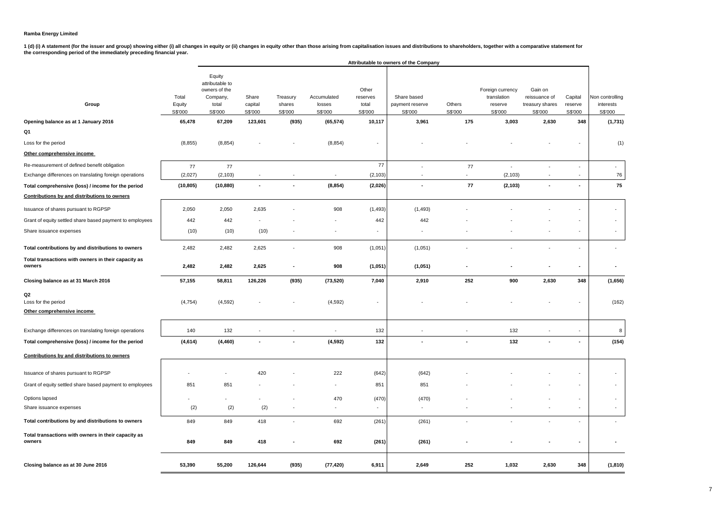1 (d) (i) A statement (for the issuer and group) showing either (i) all changes in equity or (ii) changes in equity other than those arising from capitalisation issues and distributions to shareholders, together with a com

|                                                               |                            |                                                                            |                             |                               |                                  |                                       | Attributable to owners of the Company     |                          |                                                       |                                                        |                               |                                         |
|---------------------------------------------------------------|----------------------------|----------------------------------------------------------------------------|-----------------------------|-------------------------------|----------------------------------|---------------------------------------|-------------------------------------------|--------------------------|-------------------------------------------------------|--------------------------------------------------------|-------------------------------|-----------------------------------------|
| Group                                                         | Total<br>Equity<br>S\$'000 | Equity<br>attributable to<br>owners of the<br>Company,<br>total<br>S\$'000 | Share<br>capital<br>S\$'000 | Treasury<br>shares<br>S\$'000 | Accumulated<br>losses<br>S\$'000 | Other<br>reserves<br>total<br>S\$'000 | Share based<br>payment reserve<br>S\$'000 | Others<br>S\$'000        | Foreign currency<br>translation<br>reserve<br>S\$'000 | Gain on<br>reissuance of<br>treasury shares<br>S\$'000 | Capital<br>reserve<br>S\$'000 | Non controlling<br>interests<br>S\$'000 |
| Opening balance as at 1 January 2016                          | 65,478                     | 67,209                                                                     | 123,601                     | (935)                         | (65, 574)                        | 10,117                                | 3,961                                     | 175                      | 3,003                                                 | 2,630                                                  | 348                           | (1,731)                                 |
| Q1                                                            |                            |                                                                            |                             |                               |                                  |                                       |                                           |                          |                                                       |                                                        |                               |                                         |
| Loss for the period                                           | (8, 855)                   | (8, 854)                                                                   |                             |                               | (8, 854)                         | $\blacksquare$                        |                                           |                          |                                                       |                                                        |                               | (1)                                     |
| Other comprehensive income                                    |                            |                                                                            |                             |                               |                                  |                                       |                                           |                          |                                                       |                                                        |                               |                                         |
| Re-measurement of defined benefit obligation                  | 77                         | 77                                                                         |                             |                               |                                  | 77                                    | ÷,                                        | 77                       | ÷,                                                    | $\sim$                                                 | ä,                            | $\omega$                                |
| Exchange differences on translating foreign operations        | (2,027)                    | (2, 103)                                                                   |                             |                               | ٠                                | (2, 103)                              | $\overline{\phantom{a}}$                  | $\blacksquare$           | (2, 103)                                              | $\sim$                                                 | ٠                             | 76                                      |
| Total comprehensive (loss) / income for the period            | (10, 805)                  | (10, 880)                                                                  |                             |                               | (8, 854)                         | (2,026)                               | ÷,                                        | 77                       | (2, 103)                                              |                                                        | $\overline{a}$                | 75                                      |
| Contributions by and distributions to owners                  |                            |                                                                            |                             |                               |                                  |                                       |                                           |                          |                                                       |                                                        |                               |                                         |
| Issuance of shares pursuant to RGPSP                          | 2,050                      | 2,050                                                                      | 2,635                       |                               | 908                              | (1, 493)                              | (1, 493)                                  |                          |                                                       |                                                        |                               | ÷.                                      |
| Grant of equity settled share based payment to employees      | 442                        | 442                                                                        |                             |                               |                                  | 442                                   | 442                                       |                          |                                                       |                                                        |                               | $\blacksquare$                          |
| Share issuance expenses                                       | (10)                       | (10)                                                                       | (10)                        |                               |                                  |                                       |                                           |                          |                                                       |                                                        |                               |                                         |
| Total contributions by and distributions to owners            | 2,482                      | 2,482                                                                      | 2,625                       | $\overline{\phantom{a}}$      | 908                              | (1,051)                               | (1,051)                                   |                          |                                                       |                                                        |                               | $\overline{a}$                          |
| Total transactions with owners in their capacity as<br>owners | 2,482                      | 2,482                                                                      | 2,625                       | ÷                             | 908                              | (1,051)                               | (1,051)                                   |                          |                                                       |                                                        | ٠                             |                                         |
| Closing balance as at 31 March 2016                           | 57,155                     | 58,811                                                                     | 126,226                     | (935)                         | (73, 520)                        | 7,040                                 | 2,910                                     | 252                      | 900                                                   | 2,630                                                  | 348                           | (1,656)                                 |
| Q2<br>Loss for the period<br>Other comprehensive income       | (4, 754)                   | (4, 592)                                                                   |                             |                               | (4, 592)                         |                                       |                                           |                          |                                                       |                                                        |                               | (162)                                   |
| Exchange differences on translating foreign operations        | 140                        | 132                                                                        |                             | ÷,                            | $\overline{\phantom{a}}$         | 132                                   | $\blacksquare$                            | $\overline{\phantom{a}}$ | 132                                                   | ÷,                                                     | $\blacksquare$                | 8                                       |
| Total comprehensive (loss) / income for the period            | (4,614)                    | (4, 460)                                                                   |                             | $\overline{\phantom{a}}$      | (4, 592)                         | 132                                   | $\overline{\phantom{a}}$                  | $\overline{\phantom{a}}$ | 132                                                   |                                                        | ÷,                            | (154)                                   |
| Contributions by and distributions to owners                  |                            |                                                                            |                             |                               |                                  |                                       |                                           |                          |                                                       |                                                        |                               |                                         |
| Issuance of shares pursuant to RGPSP                          |                            |                                                                            | 420                         |                               | 222                              | (642)                                 | (642)                                     |                          |                                                       |                                                        |                               | $\sim$                                  |
| Grant of equity settled share based payment to employees      | 851                        | 851                                                                        |                             |                               |                                  | 851                                   | 851                                       |                          |                                                       |                                                        |                               | $\overline{\phantom{a}}$                |
| Options lapsed                                                |                            |                                                                            |                             |                               | 470                              | (470)                                 | (470)                                     |                          |                                                       |                                                        | ٠                             | $\overline{\phantom{a}}$                |
| Share issuance expenses                                       | (2)                        | (2)                                                                        | (2)                         | $\overline{\phantom{a}}$      | $\sim$                           | $\sim$                                | $\blacksquare$                            |                          |                                                       |                                                        | $\blacksquare$                | $\sim$                                  |
| Total contributions by and distributions to owners            | 849                        | 849                                                                        | 418                         | $\sim$                        | 692                              | (261)                                 | (261)                                     | $\blacksquare$           | $\blacksquare$                                        | $\sim$                                                 | $\overline{\phantom{a}}$      | $\sim$                                  |
| Total transactions with owners in their capacity as<br>owners | 849                        | 849                                                                        | 418                         |                               | 692                              | (261)                                 | (261)                                     |                          |                                                       |                                                        |                               |                                         |
| Closing balance as at 30 June 2016                            | 53,390                     | 55,200                                                                     | 126,644                     | (935)                         | (77, 420)                        | 6,911                                 | 2,649                                     | 252                      | 1,032                                                 | 2,630                                                  | 348                           | (1, 810)                                |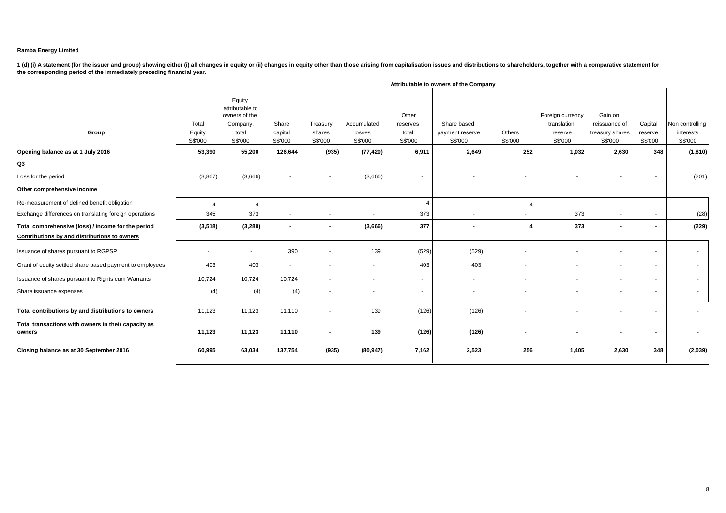|                                                               |                            |                                                                            |                             |                               |                                  |                                       | Attributable to owners of the Company     |                          |                                                       |                                                        |                               |                                         |
|---------------------------------------------------------------|----------------------------|----------------------------------------------------------------------------|-----------------------------|-------------------------------|----------------------------------|---------------------------------------|-------------------------------------------|--------------------------|-------------------------------------------------------|--------------------------------------------------------|-------------------------------|-----------------------------------------|
| Group                                                         | Total<br>Equity<br>S\$'000 | Equity<br>attributable to<br>owners of the<br>Company,<br>total<br>S\$'000 | Share<br>capital<br>S\$'000 | Treasury<br>shares<br>S\$'000 | Accumulated<br>losses<br>S\$'000 | Other<br>reserves<br>total<br>S\$'000 | Share based<br>payment reserve<br>S\$'000 | Others<br>S\$'000        | Foreign currency<br>translation<br>reserve<br>S\$'000 | Gain on<br>reissuance of<br>treasury shares<br>S\$'000 | Capital<br>reserve<br>S\$'000 | Non controlling<br>interests<br>S\$'000 |
| Opening balance as at 1 July 2016                             | 53,390                     | 55,200                                                                     | 126,644                     | (935)                         | (77, 420)                        | 6,911                                 | 2,649                                     | 252                      | 1,032                                                 | 2,630                                                  | 348                           | (1, 810)                                |
| Q3                                                            |                            |                                                                            |                             |                               |                                  |                                       |                                           |                          |                                                       |                                                        |                               |                                         |
| Loss for the period                                           | (3,867)                    | (3,666)                                                                    |                             |                               | (3,666)                          | $\overline{\phantom{a}}$              |                                           |                          |                                                       |                                                        |                               | (201)                                   |
| Other comprehensive income                                    |                            |                                                                            |                             |                               |                                  |                                       |                                           |                          |                                                       |                                                        |                               |                                         |
| Re-measurement of defined benefit obligation                  | $\overline{4}$             | $\Delta$                                                                   |                             |                               |                                  |                                       |                                           | $\overline{4}$           |                                                       |                                                        |                               | $\sim$                                  |
| Exchange differences on translating foreign operations        | 345                        | 373                                                                        |                             |                               |                                  | 373                                   | $\sim$                                    | $\overline{\phantom{a}}$ | 373                                                   |                                                        |                               | (28)                                    |
| Total comprehensive (loss) / income for the period            | (3, 518)                   | (3,289)                                                                    | $\blacksquare$              | $\overline{\phantom{a}}$      | (3,666)                          | 377                                   | $\overline{\phantom{a}}$                  | $\overline{\mathbf{4}}$  | 373                                                   | $\overline{\phantom{a}}$                               | $\sim$                        | (229)                                   |
| Contributions by and distributions to owners                  |                            |                                                                            |                             |                               |                                  |                                       |                                           |                          |                                                       |                                                        |                               |                                         |
| Issuance of shares pursuant to RGPSP                          | $\overline{\phantom{a}}$   | $\overline{\phantom{a}}$                                                   | 390                         |                               | 139                              | (529)                                 | (529)                                     |                          |                                                       |                                                        |                               | $\sim$                                  |
| Grant of equity settled share based payment to employees      | 403                        | 403                                                                        |                             |                               |                                  | 403                                   | 403                                       |                          |                                                       |                                                        |                               | $\sim$                                  |
| Issuance of shares pursuant to Rights cum Warrants            | 10,724                     | 10.724                                                                     | 10,724                      |                               | $\overline{\phantom{a}}$         | ۰.                                    | $\sim$                                    |                          |                                                       |                                                        | $\sim$                        | $\sim$                                  |
| Share issuance expenses                                       | (4)                        | (4)                                                                        | (4)                         |                               |                                  | $\overline{\phantom{a}}$              |                                           |                          |                                                       |                                                        |                               | $\sim$                                  |
| Total contributions by and distributions to owners            | 11,123                     | 11,123                                                                     | 11,110                      |                               | 139                              | (126)                                 | (126)                                     |                          |                                                       |                                                        |                               |                                         |
| Total transactions with owners in their capacity as<br>owners | 11,123                     | 11,123                                                                     | 11,110                      | $\blacksquare$                | 139                              | (126)                                 | (126)                                     |                          |                                                       |                                                        |                               |                                         |
| Closing balance as at 30 September 2016                       | 60,995                     | 63,034                                                                     | 137,754                     | (935)                         | (80, 947)                        | 7,162                                 | 2,523                                     | 256                      | 1,405                                                 | 2,630                                                  | 348                           | (2,039)                                 |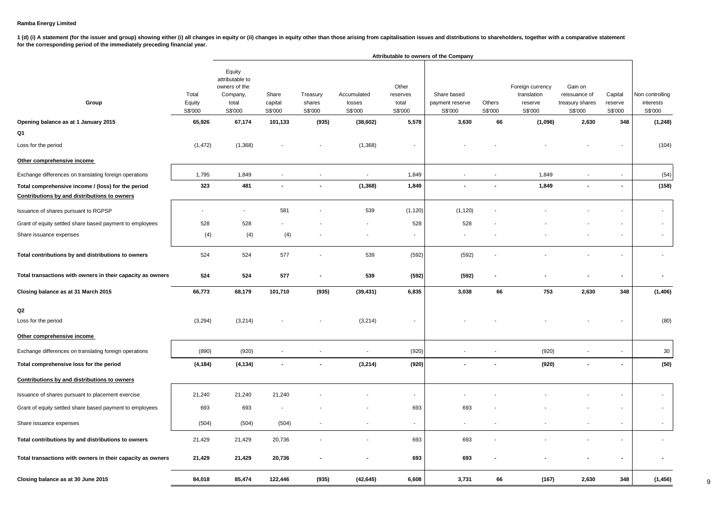1 (d) (i) A statement (for the issuer and group) showing either (i) all changes in equity or (ii) changes in equity other than those arising from capitalisation issues and distributions to shareholders, together with a com **for the corresponding period of the immediately preceding financial year.**

|                                                                                                    |                                      |                                                                                      |                                        |                                        |                                               |                                                | Attributable to owners of the Company              |                          |                                                                  |                                                                 |                                      |                                                     |
|----------------------------------------------------------------------------------------------------|--------------------------------------|--------------------------------------------------------------------------------------|----------------------------------------|----------------------------------------|-----------------------------------------------|------------------------------------------------|----------------------------------------------------|--------------------------|------------------------------------------------------------------|-----------------------------------------------------------------|--------------------------------------|-----------------------------------------------------|
| Group<br>Opening balance as at 1 January 2015                                                      | Total<br>Equity<br>S\$'000<br>65,926 | Equity<br>attributable to<br>owners of the<br>Company,<br>total<br>S\$'000<br>67,174 | Share<br>capital<br>S\$'000<br>101,133 | Treasury<br>shares<br>S\$'000<br>(935) | Accumulated<br>losses<br>S\$'000<br>(38, 602) | Other<br>reserves<br>total<br>S\$'000<br>5,578 | Share based<br>payment reserve<br>S\$'000<br>3,630 | Others<br>S\$'000<br>66  | Foreign currency<br>translation<br>reserve<br>S\$'000<br>(1,096) | Gain on<br>reissuance of<br>treasury shares<br>S\$'000<br>2,630 | Capital<br>reserve<br>S\$'000<br>348 | Non controlling<br>interests<br>S\$'000<br>(1, 248) |
| Q1                                                                                                 |                                      |                                                                                      |                                        |                                        |                                               |                                                |                                                    |                          |                                                                  |                                                                 |                                      |                                                     |
| Loss for the period                                                                                | (1, 472)                             | (1, 368)                                                                             |                                        |                                        | (1,368)                                       |                                                |                                                    |                          |                                                                  |                                                                 |                                      | (104)                                               |
| Other comprehensive income                                                                         |                                      |                                                                                      |                                        |                                        |                                               |                                                |                                                    |                          |                                                                  |                                                                 |                                      |                                                     |
| Exchange differences on translating foreign operations                                             | 1,795                                | 1,849                                                                                | $\sim$                                 | $\overline{\phantom{a}}$               | $\overline{\phantom{a}}$                      | 1,849                                          |                                                    | $\overline{\phantom{a}}$ | 1,849                                                            |                                                                 | $\overline{\phantom{a}}$             | (54)                                                |
| Total comprehensive income / (loss) for the period<br>Contributions by and distributions to owners | 323                                  | 481                                                                                  |                                        | $\blacksquare$                         | (1, 368)                                      | 1,849                                          |                                                    |                          | 1,849                                                            |                                                                 |                                      | (158)                                               |
| Issuance of shares pursuant to RGPSP                                                               |                                      | $\blacksquare$                                                                       | 581                                    |                                        | 539                                           | (1, 120)                                       | (1, 120)                                           |                          |                                                                  |                                                                 |                                      | $\sim$                                              |
| Grant of equity settled share based payment to employees                                           | 528                                  | 528                                                                                  |                                        |                                        |                                               | 528                                            | 528                                                |                          |                                                                  |                                                                 |                                      | $\blacksquare$                                      |
| Share issuance expenses                                                                            | (4)                                  | (4)                                                                                  | (4)                                    |                                        |                                               | $\sim$                                         | $\overline{\phantom{a}}$                           |                          |                                                                  |                                                                 | $\overline{\phantom{a}}$             | $\overline{\phantom{a}}$                            |
| Total contributions by and distributions to owners                                                 | 524                                  | 524                                                                                  | 577                                    |                                        | 539                                           | (592)                                          | (592)                                              |                          |                                                                  |                                                                 | $\blacksquare$                       |                                                     |
| Total transactions with owners in their capacity as owners                                         | 524                                  | 524                                                                                  | 577                                    | $\blacksquare$                         | 539                                           | (592)                                          | (592)                                              | $\overline{\phantom{a}}$ |                                                                  |                                                                 |                                      |                                                     |
| Closing balance as at 31 March 2015                                                                | 66,773                               | 68,179                                                                               | 101,710                                | (935)                                  | (39, 431)                                     | 6,835                                          | 3,038                                              | 66                       | 753                                                              | 2,630                                                           | 348                                  | (1, 406)                                            |
| Q2<br>Loss for the period                                                                          | (3, 294)                             | (3, 214)                                                                             |                                        |                                        | (3, 214)                                      |                                                |                                                    |                          |                                                                  |                                                                 |                                      | (80)                                                |
| Other comprehensive income                                                                         |                                      |                                                                                      |                                        |                                        |                                               |                                                |                                                    |                          |                                                                  |                                                                 |                                      |                                                     |
| Exchange differences on translating foreign operations                                             | (890)                                | (920)                                                                                |                                        | $\blacksquare$                         | $\blacksquare$                                | (920)                                          |                                                    |                          | (920)                                                            |                                                                 |                                      | 30                                                  |
| Total comprehensive loss for the period                                                            | (4, 184)                             | (4, 134)                                                                             |                                        |                                        | (3, 214)                                      | (920)                                          |                                                    |                          | (920)                                                            |                                                                 | $\blacksquare$                       | (50)                                                |
| Contributions by and distributions to owners                                                       |                                      |                                                                                      |                                        |                                        |                                               |                                                |                                                    |                          |                                                                  |                                                                 |                                      |                                                     |
| Issuance of shares pursuant to placement exercise                                                  | 21,240                               | 21,240                                                                               | 21,240                                 |                                        |                                               | $\overline{\phantom{a}}$                       |                                                    |                          |                                                                  |                                                                 |                                      | $\blacksquare$                                      |
| Grant of equity settled share based payment to employees                                           | 693                                  | 693                                                                                  |                                        |                                        |                                               | 693                                            | 693                                                |                          |                                                                  |                                                                 |                                      | $\overline{\phantom{a}}$                            |
| Share issuance expenses                                                                            | (504)                                | (504)                                                                                | (504)                                  |                                        |                                               | $\overline{\phantom{a}}$                       |                                                    |                          |                                                                  |                                                                 |                                      | $\blacksquare$                                      |
| Total contributions by and distributions to owners                                                 | 21,429                               | 21,429                                                                               | 20,736                                 |                                        |                                               | 693                                            | 693                                                |                          |                                                                  |                                                                 |                                      |                                                     |
| Total transactions with owners in their capacity as owners                                         | 21,429                               | 21,429                                                                               | 20,736                                 |                                        |                                               | 693                                            | 693                                                |                          |                                                                  |                                                                 |                                      |                                                     |
| Closing balance as at 30 June 2015                                                                 | 84,018                               | 85,474                                                                               | 122,446                                | (935)                                  | (42, 645)                                     | 6,608                                          | 3,731                                              | 66                       | (167)                                                            | 2,630                                                           | 348                                  | (1, 456)                                            |

9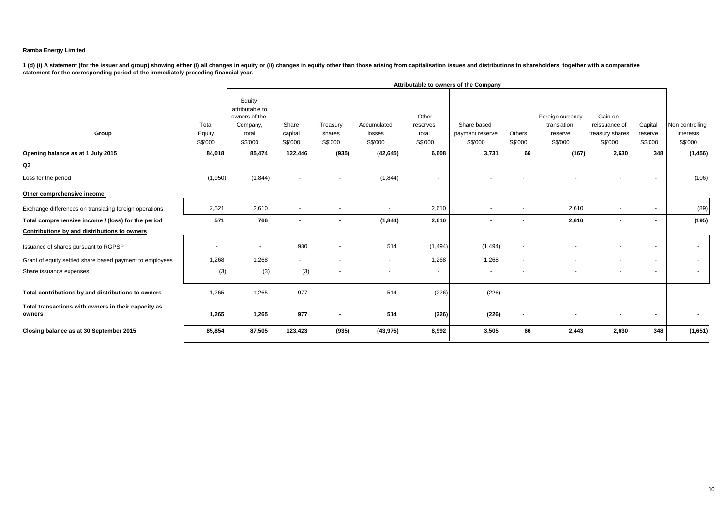|                                                               |                            |                                                                            |                             |                               |                                  |                                       | Attributable to owners of the Company     |                   |                                                       |                                                        |                               |                                         |
|---------------------------------------------------------------|----------------------------|----------------------------------------------------------------------------|-----------------------------|-------------------------------|----------------------------------|---------------------------------------|-------------------------------------------|-------------------|-------------------------------------------------------|--------------------------------------------------------|-------------------------------|-----------------------------------------|
| Group                                                         | Total<br>Equity<br>S\$'000 | Equity<br>attributable to<br>owners of the<br>Company,<br>total<br>S\$'000 | Share<br>capital<br>S\$'000 | Treasury<br>shares<br>S\$'000 | Accumulated<br>losses<br>S\$'000 | Other<br>reserves<br>total<br>S\$'000 | Share based<br>payment reserve<br>S\$'000 | Others<br>S\$'000 | Foreign currency<br>translation<br>reserve<br>S\$'000 | Gain on<br>reissuance of<br>treasury shares<br>S\$'000 | Capital<br>reserve<br>S\$'000 | Non controlling<br>interests<br>S\$'000 |
| Opening balance as at 1 July 2015                             | 84,018                     | 85,474                                                                     | 122,446                     | (935)                         | (42, 645)                        | 6,608                                 | 3,731                                     | 66                | (167)                                                 | 2,630                                                  | 348                           | (1, 456)                                |
| Q3                                                            |                            |                                                                            |                             |                               |                                  |                                       |                                           |                   |                                                       |                                                        |                               |                                         |
| Loss for the period                                           | (1,950)                    | (1, 844)                                                                   |                             | ٠                             | (1, 844)                         | $\sim$                                |                                           |                   |                                                       |                                                        |                               | (106)                                   |
| Other comprehensive income                                    |                            |                                                                            |                             |                               |                                  |                                       |                                           |                   |                                                       |                                                        |                               |                                         |
| Exchange differences on translating foreign operations        | 2,521                      | 2,610                                                                      |                             |                               |                                  | 2,610                                 |                                           |                   | 2,610                                                 |                                                        |                               | (89)                                    |
| Total comprehensive income / (loss) for the period            | 571                        | 766                                                                        | $\blacksquare$              | $\blacksquare$                | (1, 844)                         | 2,610                                 |                                           |                   | 2,610                                                 | $\blacksquare$                                         | $\blacksquare$                | (195)                                   |
| Contributions by and distributions to owners                  |                            |                                                                            |                             |                               |                                  |                                       |                                           |                   |                                                       |                                                        |                               |                                         |
| Issuance of shares pursuant to RGPSP                          |                            | $\overline{\phantom{a}}$                                                   | 980                         | ٠                             | 514                              | (1, 494)                              | (1, 494)                                  |                   |                                                       |                                                        |                               | $\sim$                                  |
| Grant of equity settled share based payment to employees      | 1,268                      | 1,268                                                                      |                             |                               |                                  | 1,268                                 | 1,268                                     |                   |                                                       |                                                        |                               | $\sim$                                  |
| Share issuance expenses                                       | (3)                        | (3)                                                                        | (3)                         |                               |                                  | $\sim$                                |                                           |                   |                                                       |                                                        |                               | $\sim$                                  |
| Total contributions by and distributions to owners            | 1,265                      | 1,265                                                                      | 977                         | ٠                             | 514                              | (226)                                 | (226)                                     |                   |                                                       |                                                        |                               |                                         |
| Total transactions with owners in their capacity as<br>owners | 1,265                      | 1,265                                                                      | 977                         | $\blacksquare$                | 514                              | (226)                                 | (226)                                     |                   |                                                       |                                                        |                               |                                         |
| Closing balance as at 30 September 2015                       | 85,854                     | 87,505                                                                     | 123,423                     | (935)                         | (43, 975)                        | 8,992                                 | 3,505                                     | 66                | 2,443                                                 | 2,630                                                  | 348                           | (1,651)                                 |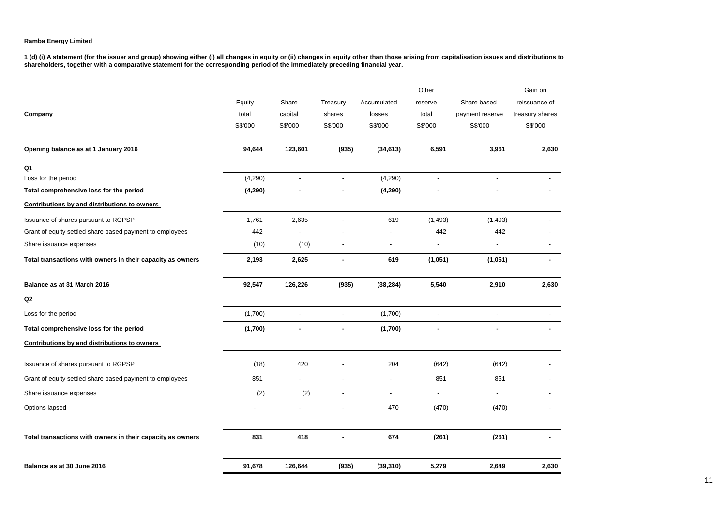|                                                            |         |                          |                          |                          | Other                    |                          | Gain on                  |
|------------------------------------------------------------|---------|--------------------------|--------------------------|--------------------------|--------------------------|--------------------------|--------------------------|
|                                                            | Equity  | Share                    | Treasury                 | Accumulated              | reserve                  | Share based              | reissuance of            |
| Company                                                    | total   | capital                  | shares                   | losses                   | total                    | payment reserve          | treasury shares          |
|                                                            | S\$'000 | S\$'000                  | S\$'000                  | S\$'000                  | S\$'000                  | S\$'000                  | S\$'000                  |
|                                                            |         |                          |                          |                          |                          |                          |                          |
| Opening balance as at 1 January 2016                       | 94,644  | 123,601                  | (935)                    | (34, 613)                | 6,591                    | 3,961                    | 2,630                    |
| Q1                                                         |         |                          |                          |                          |                          |                          |                          |
| Loss for the period                                        | (4,290) | $\overline{\phantom{a}}$ | $\overline{\phantom{a}}$ | (4, 290)                 | $\overline{\phantom{a}}$ | $\overline{\phantom{a}}$ | $\overline{\phantom{a}}$ |
| Total comprehensive loss for the period                    | (4,290) |                          | ٠                        | (4, 290)                 | ٠                        |                          |                          |
| Contributions by and distributions to owners               |         |                          |                          |                          |                          |                          |                          |
| Issuance of shares pursuant to RGPSP                       | 1,761   | 2,635                    |                          | 619                      | (1, 493)                 | (1, 493)                 |                          |
| Grant of equity settled share based payment to employees   | 442     |                          |                          |                          | 442                      | 442                      |                          |
| Share issuance expenses                                    | (10)    | (10)                     |                          | $\overline{a}$           | $\overline{\phantom{a}}$ |                          | $\overline{a}$           |
| Total transactions with owners in their capacity as owners | 2,193   | 2,625                    |                          | 619                      | (1,051)                  | (1,051)                  | ٠                        |
| Balance as at 31 March 2016                                | 92,547  | 126,226                  | (935)                    | (38, 284)                | 5,540                    | 2,910                    | 2,630                    |
| Q2                                                         |         |                          |                          |                          |                          |                          |                          |
| Loss for the period                                        | (1,700) | $\overline{a}$           |                          | (1,700)                  | $\overline{a}$           |                          |                          |
| Total comprehensive loss for the period                    | (1,700) |                          |                          | (1,700)                  | ٠                        | ٠                        | ٠                        |
| Contributions by and distributions to owners               |         |                          |                          |                          |                          |                          |                          |
| Issuance of shares pursuant to RGPSP                       | (18)    | 420                      |                          | 204                      | (642)                    | (642)                    |                          |
| Grant of equity settled share based payment to employees   | 851     |                          |                          | $\overline{\phantom{a}}$ | 851                      | 851                      |                          |
| Share issuance expenses                                    | (2)     | (2)                      |                          | $\overline{\phantom{0}}$ | $\overline{\phantom{a}}$ |                          |                          |
| Options lapsed                                             |         |                          |                          | 470                      | (470)                    | (470)                    |                          |
| Total transactions with owners in their capacity as owners | 831     | 418                      |                          | 674                      | (261)                    | (261)                    |                          |
|                                                            |         |                          |                          |                          |                          |                          |                          |
| Balance as at 30 June 2016                                 | 91,678  | 126,644                  | (935)                    | (39, 310)                | 5,279                    | 2,649                    | 2,630                    |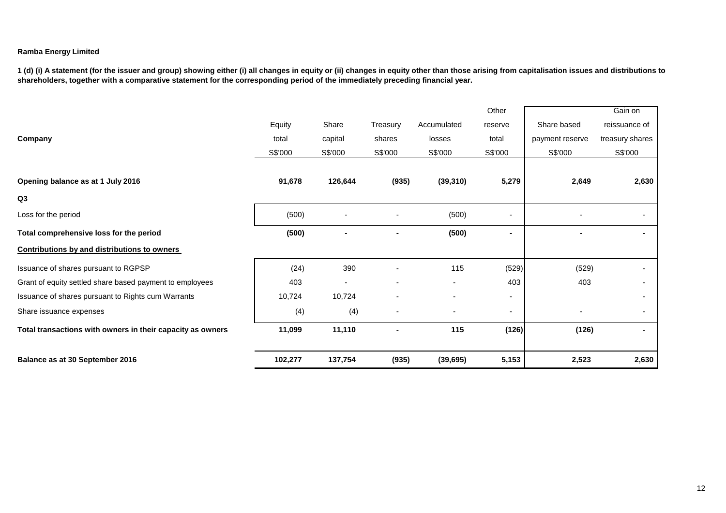|                                                            |         |         |          |             | Other                    |                 | Gain on         |
|------------------------------------------------------------|---------|---------|----------|-------------|--------------------------|-----------------|-----------------|
|                                                            | Equity  | Share   | Treasury | Accumulated | reserve                  | Share based     | reissuance of   |
| Company                                                    | total   | capital | shares   | losses      | total                    | payment reserve | treasury shares |
|                                                            | S\$'000 | S\$'000 | S\$'000  | S\$'000     | S\$'000                  | S\$'000         | S\$'000         |
|                                                            |         |         |          |             |                          |                 |                 |
| Opening balance as at 1 July 2016                          | 91,678  | 126,644 | (935)    | (39, 310)   | 5,279                    | 2,649           | 2,630           |
| Q3                                                         |         |         |          |             |                          |                 |                 |
| Loss for the period                                        | (500)   |         |          | (500)       | $\overline{\phantom{a}}$ |                 |                 |
| Total comprehensive loss for the period                    | (500)   |         |          | (500)       |                          |                 |                 |
| <b>Contributions by and distributions to owners</b>        |         |         |          |             |                          |                 |                 |
| Issuance of shares pursuant to RGPSP                       | (24)    | 390     |          | 115         | (529)                    | (529)           |                 |
| Grant of equity settled share based payment to employees   | 403     |         |          |             | 403                      | 403             |                 |
| Issuance of shares pursuant to Rights cum Warrants         | 10,724  | 10,724  |          |             | ٠                        |                 |                 |
| Share issuance expenses                                    | (4)     | (4)     |          |             | $\overline{\phantom{a}}$ |                 |                 |
| Total transactions with owners in their capacity as owners | 11,099  | 11,110  |          | 115         | (126)                    | (126)           |                 |
| Balance as at 30 September 2016                            | 102,277 | 137,754 | (935)    | (39, 695)   | 5,153                    | 2,523           | 2,630           |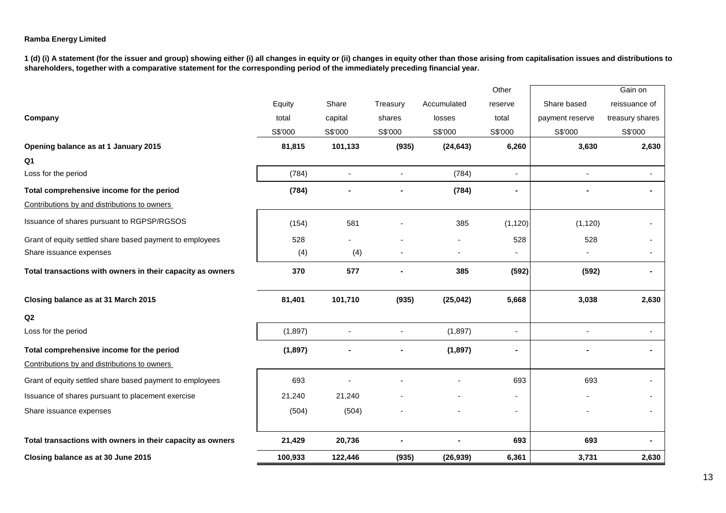|                                                            |         |                |          |             | Other                    |                 | Gain on         |
|------------------------------------------------------------|---------|----------------|----------|-------------|--------------------------|-----------------|-----------------|
|                                                            | Equity  | Share          | Treasury | Accumulated | reserve                  | Share based     | reissuance of   |
| Company                                                    | total   | capital        | shares   | losses      | total                    | payment reserve | treasury shares |
|                                                            | S\$'000 | S\$'000        | S\$'000  | S\$'000     | S\$'000                  | S\$'000         | S\$'000         |
| Opening balance as at 1 January 2015                       | 81,815  | 101,133        | (935)    | (24, 643)   | 6,260                    | 3,630           | 2,630           |
| Q1                                                         |         |                |          |             |                          |                 |                 |
| Loss for the period                                        | (784)   | $\blacksquare$ |          | (784)       | $\blacksquare$           |                 |                 |
| Total comprehensive income for the period                  | (784)   |                |          | (784)       |                          |                 |                 |
| Contributions by and distributions to owners               |         |                |          |             |                          |                 |                 |
| Issuance of shares pursuant to RGPSP/RGSOS                 | (154)   | 581            |          | 385         | (1, 120)                 | (1, 120)        |                 |
| Grant of equity settled share based payment to employees   | 528     |                |          |             | 528                      | 528             |                 |
| Share issuance expenses                                    | (4)     | (4)            |          |             |                          |                 |                 |
| Total transactions with owners in their capacity as owners | 370     | 577            |          | 385         | (592)                    | (592)           | ۰.              |
| Closing balance as at 31 March 2015                        | 81,401  | 101,710        | (935)    | (25, 042)   | 5,668                    | 3,038           | 2,630           |
| Q2                                                         |         |                |          |             |                          |                 |                 |
| Loss for the period                                        | (1,897) |                |          | (1,897)     | $\overline{\phantom{0}}$ |                 |                 |
| Total comprehensive income for the period                  | (1,897) |                |          | (1,897)     |                          |                 |                 |
| Contributions by and distributions to owners               |         |                |          |             |                          |                 |                 |
| Grant of equity settled share based payment to employees   | 693     |                |          |             | 693                      | 693             |                 |
| Issuance of shares pursuant to placement exercise          | 21,240  | 21,240         |          |             |                          |                 |                 |
| Share issuance expenses                                    | (504)   | (504)          |          |             | ٠                        |                 |                 |
| Total transactions with owners in their capacity as owners | 21,429  | 20,736         |          |             | 693                      | 693             |                 |
| Closing balance as at 30 June 2015                         | 100,933 | 122,446        | (935)    | (26, 939)   | 6,361                    | 3,731           | 2,630           |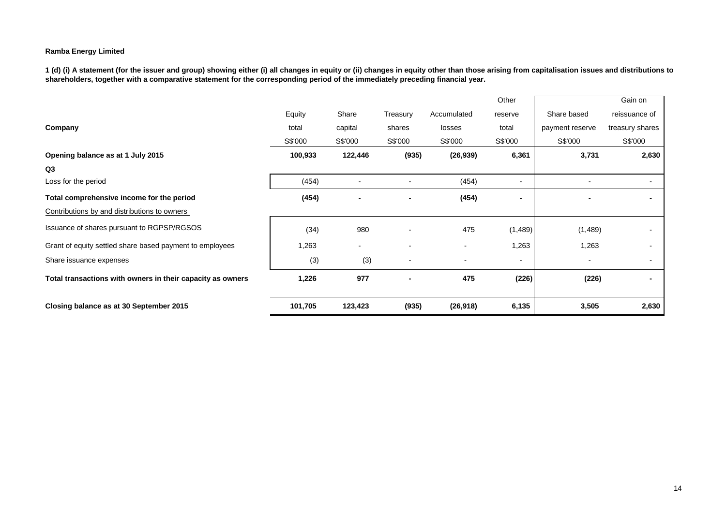|                                                            |         |         |                |             | Other          |                          | Gain on         |
|------------------------------------------------------------|---------|---------|----------------|-------------|----------------|--------------------------|-----------------|
|                                                            | Equity  | Share   | Treasury       | Accumulated | reserve        | Share based              | reissuance of   |
| Company                                                    | total   | capital | shares         | losses      | total          | payment reserve          | treasury shares |
|                                                            | S\$'000 | S\$'000 | S\$'000        | S\$'000     | S\$'000        | S\$'000                  | S\$'000         |
| Opening balance as at 1 July 2015                          | 100,933 | 122,446 | (935)          | (26, 939)   | 6,361          | 3,731                    | 2,630           |
| Q <sub>3</sub>                                             |         |         |                |             |                |                          |                 |
| Loss for the period                                        | (454)   |         |                | (454)       | $\blacksquare$ |                          |                 |
| Total comprehensive income for the period                  | (454)   |         | $\blacksquare$ | (454)       | ۰              |                          |                 |
| Contributions by and distributions to owners               |         |         |                |             |                |                          |                 |
| Issuance of shares pursuant to RGPSP/RGSOS                 | (34)    | 980     |                | 475         | (1,489)        | (1,489)                  |                 |
| Grant of equity settled share based payment to employees   | 1,263   |         |                |             | 1,263          | 1,263                    |                 |
| Share issuance expenses                                    | (3)     | (3)     |                |             | -              | $\overline{\phantom{a}}$ |                 |
| Total transactions with owners in their capacity as owners | 1,226   | 977     |                | 475         | (226)          | (226)                    |                 |
| Closing balance as at 30 September 2015                    | 101,705 | 123,423 | (935)          | (26, 918)   | 6,135          | 3,505                    | 2,630           |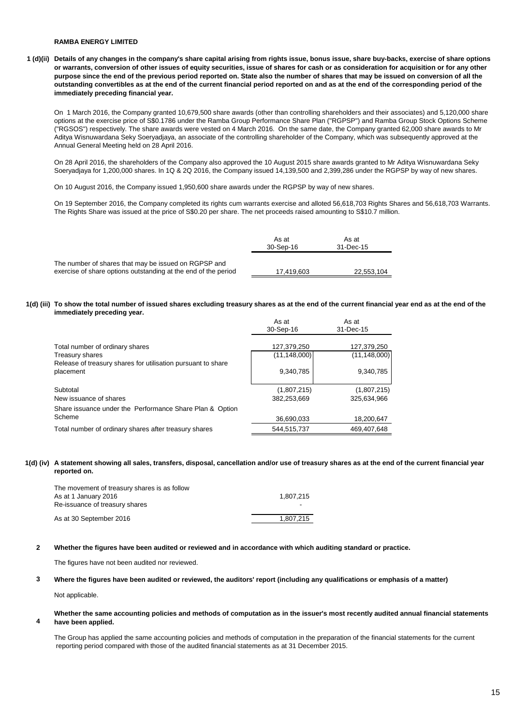### **RAMBA ENERGY LIMITED**

### **1 (d)(ii) Details of any changes in the company's share capital arising from rights issue, bonus issue, share buy-backs, exercise of share options or warrants, conversion of other issues of equity securities, issue of shares for cash or as consideration for acquisition or for any other purpose since the end of the previous period reported on. State also the number of shares that may be issued on conversion of all the outstanding convertibles as at the end of the current financial period reported on and as at the end of the corresponding period of the immediately preceding financial year.**

On 1 March 2016, the Company granted 10,679,500 share awards (other than controlling shareholders and their associates) and 5,120,000 share options at the exercise price of S\$0.1786 under the Ramba Group Performance Share Plan ("RGPSP") and Ramba Group Stock Options Scheme ("RGSOS") respectively. The share awards were vested on 4 March 2016. On the same date, the Company granted 62,000 share awards to Mr Aditya Wisnuwardana Seky Soeryadjaya, an associate of the controlling shareholder of the Company, which was subsequently approved at the Annual General Meeting held on 28 April 2016.

On 28 April 2016, the shareholders of the Company also approved the 10 August 2015 share awards granted to Mr Aditya Wisnuwardana Seky Soeryadjaya for 1,200,000 shares. In 1Q & 2Q 2016, the Company issued 14,139,500 and 2,399,286 under the RGPSP by way of new shares.

On 10 August 2016, the Company issued 1,950,600 share awards under the RGPSP by way of new shares.

On 19 September 2016, the Company completed its rights cum warrants exercise and alloted 56,618,703 Rights Shares and 56,618,703 Warrants. The Rights Share was issued at the price of S\$0.20 per share. The net proceeds raised amounting to S\$10.7 million.

|                                                                                                                        | As at<br>30-Sep-16 | As at<br>31-Dec-15 |
|------------------------------------------------------------------------------------------------------------------------|--------------------|--------------------|
| The number of shares that may be issued on RGPSP and<br>exercise of share options outstanding at the end of the period | 17.419.603         | 22,553,104         |

### **1(d) (iii) To show the total number of issued shares excluding treasury shares as at the end of the current financial year end as at the end of the immediately preceding year.**

|                                                                                 | As at<br>30-Sep-16 | As at<br>31-Dec-15 |
|---------------------------------------------------------------------------------|--------------------|--------------------|
| Total number of ordinary shares                                                 | 127,379,250        | 127,379,250        |
| Treasury shares<br>Release of treasury shares for utilisation pursuant to share | (11, 148, 000)     | (11, 148, 000)     |
| placement                                                                       | 9,340,785          | 9.340.785          |
| Subtotal                                                                        | (1,807,215)        | (1,807,215)        |
| New issuance of shares                                                          | 382,253,669        | 325.634.966        |
| Share issuance under the Performance Share Plan & Option                        |                    |                    |
| Scheme                                                                          | 36.690.033         | 18,200,647         |
| Total number of ordinary shares after treasury shares                           | 544,515,737        | 469.407.648        |

### **1(d) (iv) A statement showing all sales, transfers, disposal, cancellation and/or use of treasury shares as at the end of the current financial year reported on.**

| The movement of treasury shares is as follow |           |
|----------------------------------------------|-----------|
| As at 1 January 2016                         | 1.807.215 |
| Re-issuance of treasury shares               | -         |
| As at 30 September 2016                      | 1.807.215 |

### **2 Whether the figures have been audited or reviewed and in accordance with which auditing standard or practice.**

The figures have not been audited nor reviewed.

#### **3 Where the figures have been audited or reviewed, the auditors' report (including any qualifications or emphasis of a matter)**

Not applicable.

#### **4 Whether the same accounting policies and methods of computation as in the issuer's most recently audited annual financial statements have been applied.**

The Group has applied the same accounting policies and methods of computation in the preparation of the financial statements for the current reporting period compared with those of the audited financial statements as at 31 December 2015.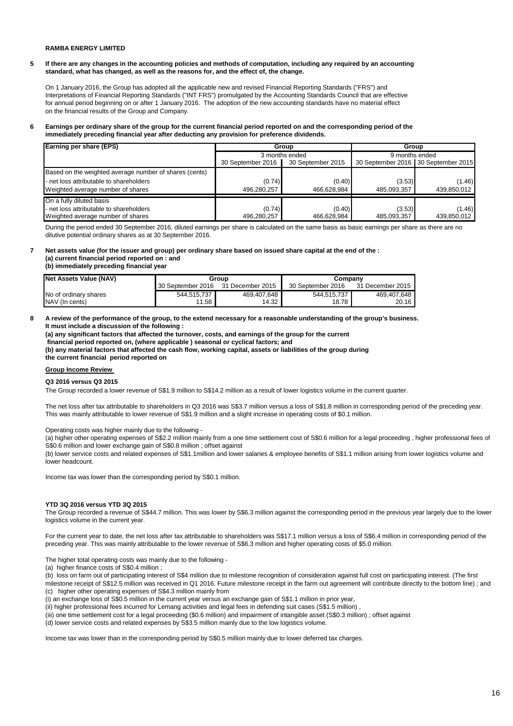### **RAMBA ENERGY LIMITED**

**5 If there are any changes in the accounting policies and methods of computation, including any required by an accounting standard, what has changed, as well as the reasons for, and the effect of, the change.**

On 1 January 2016, the Group has adopted all the applicable new and revised Financial Reporting Standards ("FRS") and Interpretations of Financial Reporting Standards ("INT FRS") promulgated by the Accounting Standards Council that are effective for annual period beginning on or after 1 January 2016. The adoption of the new accounting standards have no material effect on the financial results of the Group and Company.

**6 Earnings per ordinary share of the group for the current financial period reported on and the corresponding period of the immediately preceding financial year after deducting any provision for preference dividends.** 

| <b>Earning per share (EPS)</b>                         | Group             |                   |                | Group                               |  |  |
|--------------------------------------------------------|-------------------|-------------------|----------------|-------------------------------------|--|--|
|                                                        |                   | 3 months ended    | 9 months ended |                                     |  |  |
|                                                        | 30 September 2016 | 30 September 2015 |                | 30 September 2016 30 September 2015 |  |  |
| Based on the weighted average number of shares (cents) |                   |                   |                |                                     |  |  |
| - net loss attributable to shareholders                | (0.74)            | (0.40)            | (3.53)         | (1.46)                              |  |  |
| Weighted average number of shares                      | 496,280,257       | 466.628.984       | 485,093,357    | 439,850,012                         |  |  |
| On a fully diluted basis                               |                   |                   |                |                                     |  |  |
| - net loss attributable to shareholders                | (0.74)            | (0.40)            | (3.53)         | (1.46)                              |  |  |
| Weighted average number of shares                      | 496.280.257       | 466.628.984       | 485,093,357    | 439,850,012                         |  |  |

During the period ended 30 September 2016, diluted earnings per share is calculated on the same basis as basic earnings per share as there are no dilutive potential ordinary shares as at 30 September 2016.

# **7 Net assets value (for the issuer and group) per ordinary share based on issued share capital at the end of the : (a) current financial period reported on : and**

| (b) immediately preceding financial year |  |
|------------------------------------------|--|
|------------------------------------------|--|

| Net Assets Value (NAV) |                   | Group              | Company           |                  |  |
|------------------------|-------------------|--------------------|-------------------|------------------|--|
|                        | 30 September 2016 | 31 December 2015   | 30 September 2016 | 31 December 2015 |  |
| No of ordinary shares  | 544.515.737       | 469.407.648        | 544.515.737       | 469.407.648      |  |
| NAV (In cents)         | 11.58             | 14.32 <sub>1</sub> | 18.78             | 20.16            |  |

### **8 A review of the performance of the group, to the extend necessary for a reasonable understanding of the group's business. It must include a discussion of the following :**

**(a) any significant factors that affected the turnover, costs, and earnings of the group for the current**

 **financial period reported on, (where applicable ) seasonal or cyclical factors; and (b) any material factors that affected the cash flow, working capital, assets or liabilities of the group during** 

**the current financial period reported on** 

### **Group Income Review**

### **Q3 2016 versus Q3 2015**

The Group recorded a lower revenue of S\$1.9 million to S\$14.2 million as a result of lower logistics volume in the current quarter.

The net loss after tax attributable to shareholders in Q3 2016 was S\$3.7 million versus a loss of S\$1.8 million in corresponding period of the preceding year. This was mainly attributable to lower revenue of S\$1.9 million and a slight increase in operating costs of \$0.1 million.

Operating costs was higher mainly due to the following -

(a) higher other operating expenses of S\$2.2 million mainly from a one time settlement cost of S\$0.6 million for a legal proceeding , higher professional fees of S\$0.6 million and lower exchange gain of S\$0.8 million ; offset against

(b) lower service costs and related expenses of S\$1.1million and lower salaries & employee benefits of S\$1.1 million arising from lower logistics volume and lower headcount.

Income tax was lower than the corresponding period by S\$0.1 million.

### **YTD 3Q 2016 versus YTD 3Q 2015**

The Group recorded a revenue of S\$44.7 million. This was lower by S\$6.3 million against the corresponding period in the previous year largely due to the lower logistics volume in the current year.

For the current year to date, the net loss after tax attributable to shareholders was S\$17.1 million versus a loss of S\$6.4 million in corresponding period of the preceding year. This was mainly attributable to the lower revenue of S\$6.3 million and higher operating costs of \$5.0 million.

The higher total operating costs was mainly due to the following -

(a) higher finance costs of S\$0.4 million ;

(b) loss on farm out of participating interest of S\$4 million due to milestone recognition of consideration against full cost on participating interest. (The first milestone receipt of S\$12.5 million was received in Q1 2016. Future milestone receipt in the farm out agreement will contribute directly to the bottom line) ; and

(c) higher other operating expenses of S\$4.3 million mainly from

(i) an exchange loss of S\$0.5 million in the current year versus an exchange gain of S\$1.1 million in prior year,

(ii) higher professional fees incurred for Lemang activities and legal fees in defending suit cases (S\$1.5 million) ,

- (iii) one time settlement cost for a legal proceeding (\$0.6 million) and impairment of intangible asset (S\$0.3 million) ; offset against
- (d) lower service costs and related expenses by S\$3.5 million mainly due to the low logistics volume.

Income tax was lower than in the corresponding period by S\$0.5 million mainly due to lower deferred tax charges.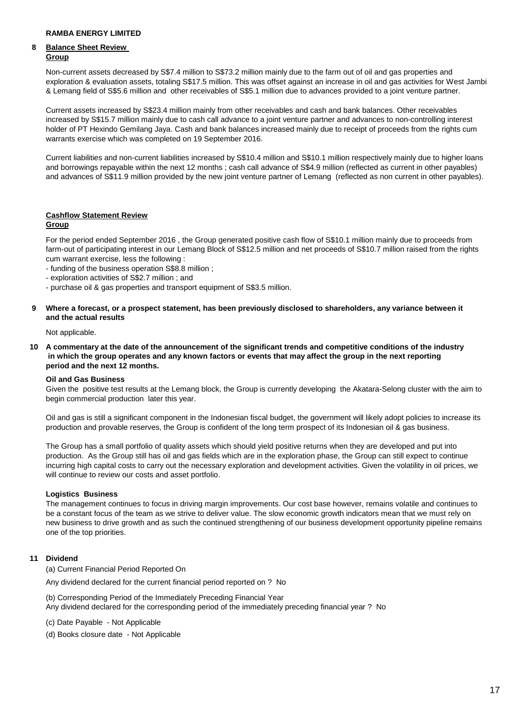# **8 Balance Sheet Review Group**

Non-current assets decreased by S\$7.4 million to S\$73.2 million mainly due to the farm out of oil and gas properties and exploration & evaluation assets, totaling S\$17.5 million. This was offset against an increase in oil and gas activities for West Jambi & Lemang field of S\$5.6 million and other receivables of S\$5.1 million due to advances provided to a joint venture partner.

Current assets increased by S\$23.4 million mainly from other receivables and cash and bank balances. Other receivables increased by S\$15.7 million mainly due to cash call advance to a joint venture partner and advances to non-controlling interest holder of PT Hexindo Gemilang Jaya. Cash and bank balances increased mainly due to receipt of proceeds from the rights cum warrants exercise which was completed on 19 September 2016.

Current liabilities and non-current liabilities increased by S\$10.4 million and S\$10.1 million respectively mainly due to higher loans and borrowings repayable within the next 12 months ; cash call advance of S\$4.9 million (reflected as current in other payables) and advances of S\$11.9 million provided by the new joint venture partner of Lemang (reflected as non current in other payables).

# **Cashflow Statement Review**

## **Group**

For the period ended September 2016 , the Group generated positive cash flow of S\$10.1 million mainly due to proceeds from farm-out of participating interest in our Lemang Block of S\$12.5 million and net proceeds of S\$10.7 million raised from the rights cum warrant exercise, less the following :

- funding of the business operation S\$8.8 million ;
- exploration activities of S\$2.7 million ; and
- purchase oil & gas properties and transport equipment of S\$3.5 million.
- **9 Where a forecast, or a prospect statement, has been previously disclosed to shareholders, any variance between it and the actual results**

Not applicable.

**10 A commentary at the date of the announcement of the significant trends and competitive conditions of the industry in which the group operates and any known factors or events that may affect the group in the next reporting period and the next 12 months.** 

### **Oil and Gas Business**

Given the positive test results at the Lemang block, the Group is currently developing the Akatara-Selong cluster with the aim to begin commercial production later this year.

Oil and gas is still a significant component in the Indonesian fiscal budget, the government will likely adopt policies to increase its production and provable reserves, the Group is confident of the long term prospect of its Indonesian oil & gas business.

The Group has a small portfolio of quality assets which should yield positive returns when they are developed and put into production. As the Group still has oil and gas fields which are in the exploration phase, the Group can still expect to continue incurring high capital costs to carry out the necessary exploration and development activities. Given the volatility in oil prices, we will continue to review our costs and asset portfolio.

# **Logistics Business**

The management continues to focus in driving margin improvements. Our cost base however, remains volatile and continues to be a constant focus of the team as we strive to deliver value. The slow economic growth indicators mean that we must rely on new business to drive growth and as such the continued strengthening of our business development opportunity pipeline remains one of the top priorities.

# **11 Dividend**

(a) Current Financial Period Reported On

Any dividend declared for the current financial period reported on ? No

(b) Corresponding Period of the Immediately Preceding Financial Year Any dividend declared for the corresponding period of the immediately preceding financial year ? No

(c) Date Payable - Not Applicable

(d) Books closure date - Not Applicable